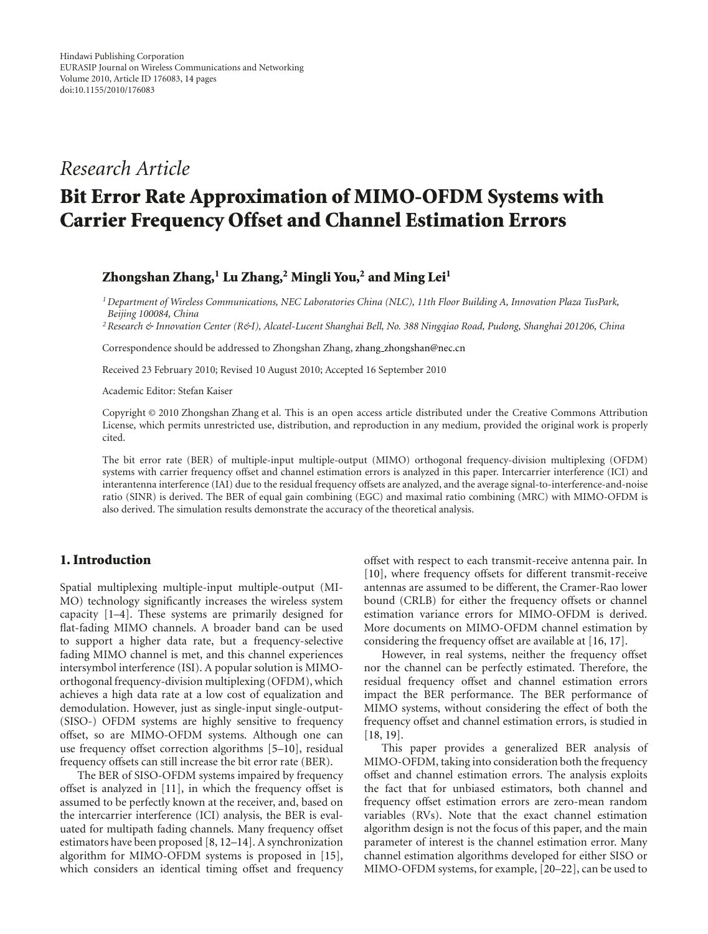## *Research Article*

# **Bit Error Rate Approximation of MIMO-OFDM Systems with Carrier Frequency Offset and Channel Estimation Errors**

#### **Zhongshan Zhang,1 Lu Zhang,2 Mingli You,2 and Ming Lei1**

*1Department of Wireless Communications, NEC Laboratories China (NLC), 11th Floor Building A, Innovation Plaza TusPark, Beijing 100084, China*

*2Research & Innovation Center (R&I), Alcatel-Lucent Shanghai Bell, No. 388 Ningqiao Road, Pudong, Shanghai 201206, China*

Correspondence should be addressed to Zhongshan Zhang, zhang zhongshan@nec.cn

Received 23 February 2010; Revised 10 August 2010; Accepted 16 September 2010

Academic Editor: Stefan Kaiser

Copyright © 2010 Zhongshan Zhang et al. This is an open access article distributed under the Creative Commons Attribution License, which permits unrestricted use, distribution, and reproduction in any medium, provided the original work is properly cited.

The bit error rate (BER) of multiple-input multiple-output (MIMO) orthogonal frequency-division multiplexing (OFDM) systems with carrier frequency offset and channel estimation errors is analyzed in this paper. Intercarrier interference (ICI) and interantenna interference (IAI) due to the residual frequency offsets are analyzed, and the average signal-to-interference-and-noise ratio (SINR) is derived. The BER of equal gain combining (EGC) and maximal ratio combining (MRC) with MIMO-OFDM is also derived. The simulation results demonstrate the accuracy of the theoretical analysis.

#### **1. Introduction**

Spatial multiplexing multiple-input multiple-output (MI-MO) technology significantly increases the wireless system capacity [1–4]. These systems are primarily designed for flat-fading MIMO channels. A broader band can be used to support a higher data rate, but a frequency-selective fading MIMO channel is met, and this channel experiences intersymbol interference (ISI). A popular solution is MIMOorthogonal frequency-division multiplexing (OFDM), which achieves a high data rate at a low cost of equalization and demodulation. However, just as single-input single-output- (SISO-) OFDM systems are highly sensitive to frequency offset, so are MIMO-OFDM systems. Although one can use frequency offset correction algorithms [5–10], residual frequency offsets can still increase the bit error rate (BER).

The BER of SISO-OFDM systems impaired by frequency offset is analyzed in [11], in which the frequency offset is assumed to be perfectly known at the receiver, and, based on the intercarrier interference (ICI) analysis, the BER is evaluated for multipath fading channels. Many frequency offset estimators have been proposed [8, 12–14]. A synchronization algorithm for MIMO-OFDM systems is proposed in [15], which considers an identical timing offset and frequency offset with respect to each transmit-receive antenna pair. In [10], where frequency offsets for different transmit-receive antennas are assumed to be different, the Cramer-Rao lower bound (CRLB) for either the frequency offsets or channel estimation variance errors for MIMO-OFDM is derived. More documents on MIMO-OFDM channel estimation by considering the frequency offset are available at [16, 17].

However, in real systems, neither the frequency offset nor the channel can be perfectly estimated. Therefore, the residual frequency offset and channel estimation errors impact the BER performance. The BER performance of MIMO systems, without considering the effect of both the frequency offset and channel estimation errors, is studied in [18, 19].

This paper provides a generalized BER analysis of MIMO-OFDM, taking into consideration both the frequency offset and channel estimation errors. The analysis exploits the fact that for unbiased estimators, both channel and frequency offset estimation errors are zero-mean random variables (RVs). Note that the exact channel estimation algorithm design is not the focus of this paper, and the main parameter of interest is the channel estimation error. Many channel estimation algorithms developed for either SISO or MIMO-OFDM systems, for example, [20–22], can be used to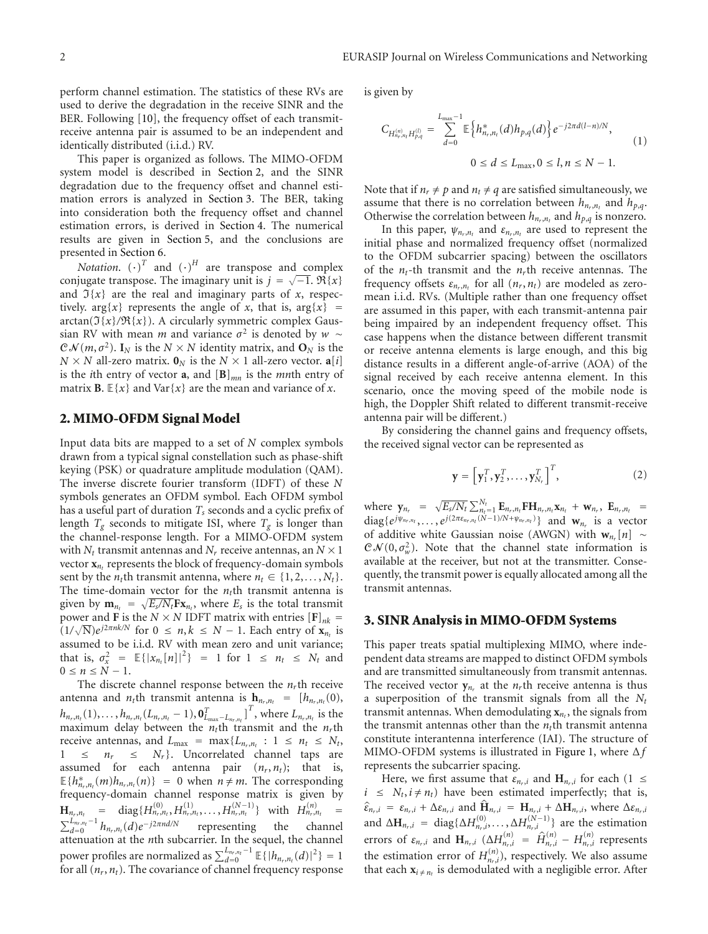perform channel estimation. The statistics of these RVs are used to derive the degradation in the receive SINR and the BER. Following [10], the frequency offset of each transmitreceive antenna pair is assumed to be an independent and identically distributed (i.i.d.) RV.

This paper is organized as follows. The MIMO-OFDM system model is described in Section 2, and the SINR degradation due to the frequency offset and channel estimation errors is analyzed in Section 3. The BER, taking into consideration both the frequency offset and channel estimation errors, is derived in Section 4. The numerical results are given in Section 5, and the conclusions are presented in Section 6.

*Notation.*  $(\cdot)^T$  and  $(\cdot)^H$  are transpose and complex conjugate transpose. The imaginary unit is  $j = \sqrt{-1}$ .  $\Re\{x\}$ and  $\mathfrak{I}\{x\}$  are the real and imaginary parts of x, respectively. arg{*x*} represents the angle of *x*, that is,  $\arg\{x\}$  =  $arctan(\mathfrak{I}\{x\}/\mathfrak{R}\{x\})$ . A circularly symmetric complex Gaussian RV with mean *m* and variance  $\sigma^2$  is denoted by *w* ∼  $C\mathcal{N}(m, \sigma^2)$ . **I**<sub>N</sub> is the  $N \times N$  identity matrix, and  $\mathbf{O}_N$  is the  $N \times N$  all-zero matrix.  $\mathbf{0}_N$  is the  $N \times 1$  all-zero vector.  $\mathbf{a}[i]$ is the *i*th entry of vector **a**, and  $[\mathbf{B}]_{mn}$  is the *mn*th entry of matrix **B**.  $E\{x\}$  and  $Var\{x\}$  are the mean and variance of *x*.

#### **2. MIMO-OFDM Signal Model**

Input data bits are mapped to a set of *N* complex symbols drawn from a typical signal constellation such as phase-shift keying (PSK) or quadrature amplitude modulation (QAM). The inverse discrete fourier transform (IDFT) of these *N* symbols generates an OFDM symbol. Each OFDM symbol has a useful part of duration *Ts* seconds and a cyclic prefix of length  $T_g$  seconds to mitigate ISI, where  $T_g$  is longer than the channel-response length. For a MIMO-OFDM system with  $N_t$  transmit antennas and  $N_r$  receive antennas, an  $N \times 1$ vector  $\mathbf{x}_{n_t}$  represents the block of frequency-domain symbols sent by the *n<sub>t</sub>*th transmit antenna, where  $n_t \in \{1, 2, ..., N_t\}$ . The time-domain vector for the  $n<sub>t</sub>$ <sup>th</sup> transmit antenna is given by  $\mathbf{m}_{n_t} = \sqrt{E_s/N_t}\mathbf{F}\mathbf{x}_{n_t}$ , where  $E_s$  is the total transmit power and **F** is the *N* × *N* IDFT matrix with entries  $[F]_{nk}$  =  $(1/\sqrt{N})e^{j2\pi nk/N}$  for  $0 \le n, k \le N-1$ . Each entry of  $\mathbf{x}_n$  is assumed to be i.i.d. RV with mean zero and unit variance; that is,  $\sigma_x^2 = \mathbb{E}\{|x_{n_t}[n]|^2\} = 1$  for  $1 \le n_t \le N_t$  and  $0 \le n \le N - 1$ .

The discrete channel response between the  $n<sub>r</sub>$ <sup>th</sup> receive antenna and *n<sub>t</sub>*th transmit antenna is  $h_{n_r,n_t} = [h_{n_r,n_t}(0),$  $h_{n_r,n_t}(1),...,h_{n_r,n_t}(L_{n_r,n_t}-1),\mathbf{0}_{L_{\max}-L_{n_r,n_t}}^T$ <sup>T</sup>, where  $L_{n_r,n_t}$  is the maximum delay between the  $n_t$ <sup>th</sup> transmit and the  $n_r$ <sup>th</sup> receive antennas, and  $L_{\text{max}} = \max\{L_{n_r,n_t}: 1 \le n_t \le N_t,$  $1 \leq n_r \leq N_r$ . Uncorrelated channel taps are assumed for each antenna pair  $(n_r, n_t)$ ; that is,  $E\{h_{n_r,n_t}^*(m)h_{n_r,n_t}(n)\} = 0$  when  $n \neq m$ . The corresponding frequency-domain channel response matrix is given by  $\mathbf{H}_{n_r,n_t}$  = diag $\{H_{n_r,n_t}^{(0)}, H_{n_r,n_t}^{(1)}, \ldots, H_{n_r,n_t}^{(N-1)}\}$  with  $H_{n_r,n_t}^{(n)}$  =  $\sum_{d=0}^{L_{n_r,n_t}-1} h_{n_r,n_t}(d) e^{-j2\pi nd/N}$  representing the channel attenuation at the *n*th subcarrier. In the sequel, the channel power profiles are normalized as  $\sum_{d=0}^{L_{n_r,n_t}-1} \mathbb{E}\{|h_{n_r,n_t}(d)|^2\} = 1$ for all (*nr*, *nt*). The covariance of channel frequency response

is given by

$$
C_{H_{n_r,n_t}^{(n)}H_{p,q}^{(l)}} = \sum_{d=0}^{L_{\text{max}}-1} \mathbb{E}\left\{ h_{n_r,n_t}^*(d)h_{p,q}(d) \right\} e^{-j2\pi d(l-n)/N},
$$
  
0 \le d \le L\_{\text{max}}, 0 \le l, n \le N - 1. (1)

Note that if  $n_r \neq p$  and  $n_t \neq q$  are satisfied simultaneously, we assume that there is no correlation between  $h_{n_r,n_t}$  and  $h_{p,q}$ . Otherwise the correlation between  $h_{n_r,n_t}$  and  $h_{p,q}$  is nonzero.

In this paper,  $\psi_{n_r,n_t}$  and  $\varepsilon_{n_r,n_t}$  are used to represent the initial phase and normalized frequency offset (normalized to the OFDM subcarrier spacing) between the oscillators of the  $n_t$ -th transmit and the  $n_t$ <sup>th</sup> receive antennas. The frequency offsets  $\varepsilon_{n_r,n_t}$  for all  $(n_r, n_t)$  are modeled as zeromean i.i.d. RVs. (Multiple rather than one frequency offset are assumed in this paper, with each transmit-antenna pair being impaired by an independent frequency offset. This case happens when the distance between different transmit or receive antenna elements is large enough, and this big distance results in a different angle-of-arrive (AOA) of the signal received by each receive antenna element. In this scenario, once the moving speed of the mobile node is high, the Doppler Shift related to different transmit-receive antenna pair will be different.)

By considering the channel gains and frequency offsets, the received signal vector can be represented as

$$
\mathbf{y} = \left[ \mathbf{y}_1^T, \mathbf{y}_2^T, \dots, \mathbf{y}_{N_r}^T \right]^T, \tag{2}
$$

where  $\mathbf{y}_{n_r} = \sqrt{E_s/N_t} \sum_{n_t=1}^{N_t} \mathbf{E}_{n_r,n_t} \mathbf{F} \mathbf{H}_{n_r,n_t} \mathbf{x}_{n_t} + \mathbf{w}_{n_r}, \mathbf{E}_{n_r,n_t} =$ diag $\{e^{j\psi_{n_r,n_t}}, \ldots, e^{j(2\pi\varepsilon_{n_r,n_t}(N-1)/N+\psi_{n_r,n_t})}\}$  and  $w_{n_r}$  is a vector of additive white Gaussian noise (AWGN) with **w***nr*[*n*] ∼  $C\mathcal{N}(0, \sigma_w^2)$ . Note that the channel state information is available at the receiver, but not at the transmitter. Consequently, the transmit power is equally allocated among all the transmit antennas.

#### **3. SINR Analysis in MIMO-OFDM Systems**

This paper treats spatial multiplexing MIMO, where independent data streams are mapped to distinct OFDM symbols and are transmitted simultaneously from transmit antennas. The received vector  $y_{n_r}$  at the  $n_r$ th receive antenna is thus a superposition of the transmit signals from all the *Nt* transmit antennas. When demodulating  $\mathbf{x}_{n}$ , the signals from the transmit antennas other than the  $n_t$ th transmit antenna constitute interantenna interference (IAI). The structure of MIMO-OFDM systems is illustrated in Figure 1, where Δ*f* represents the subcarrier spacing.

Here, we first assume that  $\varepsilon_{n_r,i}$  and  $H_{n_r,i}$  for each (1  $\leq$  $i \leq N_t, i \neq n_t$  have been estimated imperfectly; that is,  $\hat{\epsilon}_{n_r,i} = \epsilon_{n_r,i} + \Delta \epsilon_{n_r,i}$  and  $\hat{\mathbf{H}}_{n_r,i} = \mathbf{H}_{n_r,i} + \Delta \mathbf{H}_{n_r,i}$ , where  $\Delta \epsilon_{n_r,i}$ and  $\Delta H_{n_r,i} = \text{diag}\{\Delta H_{n_r,i}^{(0)},\ldots,\Delta H_{n_r,i}^{(N-1)}\}\$  are the estimation errors of  $\varepsilon_{n_r,i}$  and  $\mathbf{H}_{n_r,i}$  ( $\Delta H_{n_r,i}^{(n)} = \hat{H}_{n_r,i}^{(n)} - H_{n_r,i}^{(n)}$  represents the estimation error of  $H_{n_r,i}^{(n)}$ ), respectively. We also assume that each  $\mathbf{x}_{i \neq n_t}$  is demodulated with a negligible error. After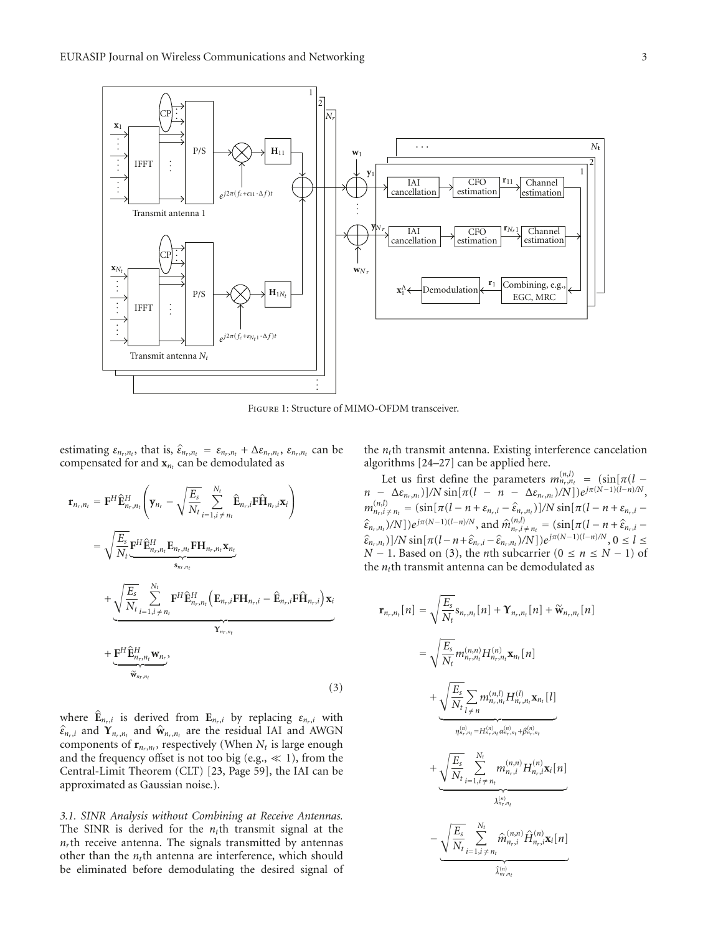

Figure 1: Structure of MIMO-OFDM transceiver.

estimating  $\varepsilon_{n_r,n_t}$ , that is,  $\hat{\varepsilon}_{n_r,n_t} = \varepsilon_{n_r,n_t} + \Delta \varepsilon_{n_r,n_t}$ ,  $\varepsilon_{n_r,n_t}$  can be compensated for and  $\mathbf{x}_{n_t}$  can be demodulated as

$$
\mathbf{r}_{n_r,n_t} = \mathbf{F}^H \hat{\mathbf{E}}_{n_r,n_t}^H \left( \mathbf{y}_{n_r} - \sqrt{\frac{E_s}{N_t}} \sum_{i=1, i \neq n_t}^{N_t} \hat{\mathbf{E}}_{n_r,i} \mathbf{F} \hat{\mathbf{H}}_{n_r,i} \mathbf{x}_i \right)
$$
  
\n
$$
= \sqrt{\frac{E_s}{N_t}} \mathbf{F}^H \hat{\mathbf{E}}_{n_r,n_t}^H \mathbf{E}_{n_r,n_t} \mathbf{F} \mathbf{H}_{n_r,n_t} \mathbf{x}_{n_t}
$$
  
\n
$$
+ \sqrt{\frac{E_s}{N_t}} \sum_{i=1, i \neq n_t}^{N_t} \mathbf{F}^H \hat{\mathbf{E}}_{n_r,n_t}^H \left( \mathbf{E}_{n_r,i} \mathbf{F} \mathbf{H}_{n_r,i} - \hat{\mathbf{E}}_{n_r,i} \mathbf{F} \hat{\mathbf{H}}_{n_r,i} \right) \mathbf{x}_i
$$
  
\n
$$
+ \frac{\mathbf{F}^H \hat{\mathbf{E}}_{n_r,n_t}^H \mathbf{w}_{n_r}}{\mathbf{x}_{n_r,n_t}}
$$
  
\n
$$
\frac{\mathbf{x}_{n_r,n_t}}{\mathbf{x}_{n_r,n_t}}
$$
 (3)

where  $\mathbf{\hat{E}}_{n_r,i}$  is derived from  $\mathbf{E}_{n_r,i}$  by replacing  $\varepsilon_{n_r,i}$  with  $\hat{\epsilon}_{n_r,i}$  and  $\mathbf{Y}_{n_r,n_t}$  and  $\hat{\mathbf{w}}_{n_r,n_t}$  are the residual IAI and AWGN components of  $\mathbf{r}_{n_r,n_t}$ , respectively (When  $N_t$  is large enough and the frequency offset is not too big (e.g.,  $\ll$  1), from the Central-Limit Theorem (CLT) [23, Page 59], the IAI can be approximated as Gaussian noise.).

*3.1. SINR Analysis without Combining at Receive Antennas.* The SINR is derived for the  $n_t$ <sup>th</sup> transmit signal at the  $n<sub>r</sub>$ th receive antenna. The signals transmitted by antennas other than the  $n_t$ <sup>th</sup> antenna are interference, which should be eliminated before demodulating the desired signal of the  $n_t$ <sup>th</sup> transmit antenna. Existing interference cancelation algorithms [24–27] can be applied here.

Let us first define the parameters  $m_{n_r,n_t}^{(n,l)} = (\sin[\pi(l$  $n - \Delta \varepsilon_{n_r, n_t}$ )]/N sin[ $\pi (l - n - \Delta \varepsilon_{n_r, n_t})/N$ ]) $e^{j\pi (N-1)(l-n)/N}$ ,  $m_{n_r,i \neq n_l}^{(n,l)} = (\sin[\pi(l - n + \varepsilon_{n_r,i} - \hat{\varepsilon}_{n_r,n_l})]/N \sin[\pi(l - n + \varepsilon_{n_r,i} - \hat{\varepsilon}_{n_r,i} - \hat{\varepsilon}_{n_r,i} - \hat{\varepsilon}_{n_r,i} - \hat{\varepsilon}_{n_r,i} - \hat{\varepsilon}_{n_r,i} - \hat{\varepsilon}_{n_r,i} - \hat{\varepsilon}_{n_r,i} - \hat{\varepsilon}_{n_r,i} - \hat{\varepsilon}_{n_r,i} - \hat{\varepsilon}_{n_r,i} - \hat{\varepsilon}_{n_r,i} - \hat{\varepsilon}_{n_r,i} - \hat{\varepsilon}_{n_r$  $(\hat{\varepsilon}_{n_r,n_t})/N]$ ) $e^{j\pi(N-1)(l-n)/N}$ , and  $\hat{m}_{n_r,i}^{(n,l)} + n_t = (\sin[\pi(l-n+\hat{\varepsilon}_{n_r,i}-\hat{\varepsilon}_{n_r,i}])/N]$  $\hat{\epsilon}_{n_r,n_t}$ )]/N sin[*π*(*l*−*n*+ $\hat{\epsilon}_{n_r,i}$  − $\hat{\epsilon}_{n_r,n_t}$ )/N])*e*<sup>*jπ*(*N*−1)(*l*−*n*)*/N* , 0 ≤ *l* ≤ *N* 1) of</sup> *N* − 1. Based on (3), the *n*th subcarrier ( $0 \le n \le N - 1$ ) of the *nt*th transmit antenna can be demodulated as

$$
\mathbf{r}_{n_r,n_t}[n] = \sqrt{\frac{E_s}{N_t}} \mathbf{s}_{n_r,n_t}[n] + \mathbf{\hat{Y}}_{n_r,n_t}[n] + \widetilde{\mathbf{W}}_{n_r,n_t}[n]
$$
\n
$$
= \sqrt{\frac{E_s}{N_t}} \frac{m_{n_r,n_t}^{(n,n)} H_{n_r,n_t}^{(n)} \mathbf{x}_{n_t}[n] + \frac{\sqrt{\frac{E_s}{N_t}} \sum_{l \neq n} m_{n_r,n_t}^{(n,l)} H_{n_r,n_t}^{(l)} \mathbf{x}_{n_t}[l]}{m_{n_r,n_t}^{(n)} = H_{n_r,n_t}^{(n)} \alpha_{n_r,n_t}^{(n)} + \beta_{n_r,n_t}^{(n)}} + \frac{\sqrt{\frac{E_s}{N_t}} \sum_{i=1, i \neq n_t}^{N_t} m_{n_r,i}^{(n,n)} H_{n_r,i}^{(n)} \mathbf{x}_i[n]}{\lambda_{n_r,n_t}^{(n)}} - \frac{\sqrt{\frac{E_s}{N_t}} \sum_{i=1, i \neq n_t}^{N_t} \hat{m}_{n_r,i}^{(n,n)} \hat{H}_{n_r,i}^{(n)} \mathbf{x}_i[n]}{\hat{\lambda}_{n_r,n_t}^{(n)}}
$$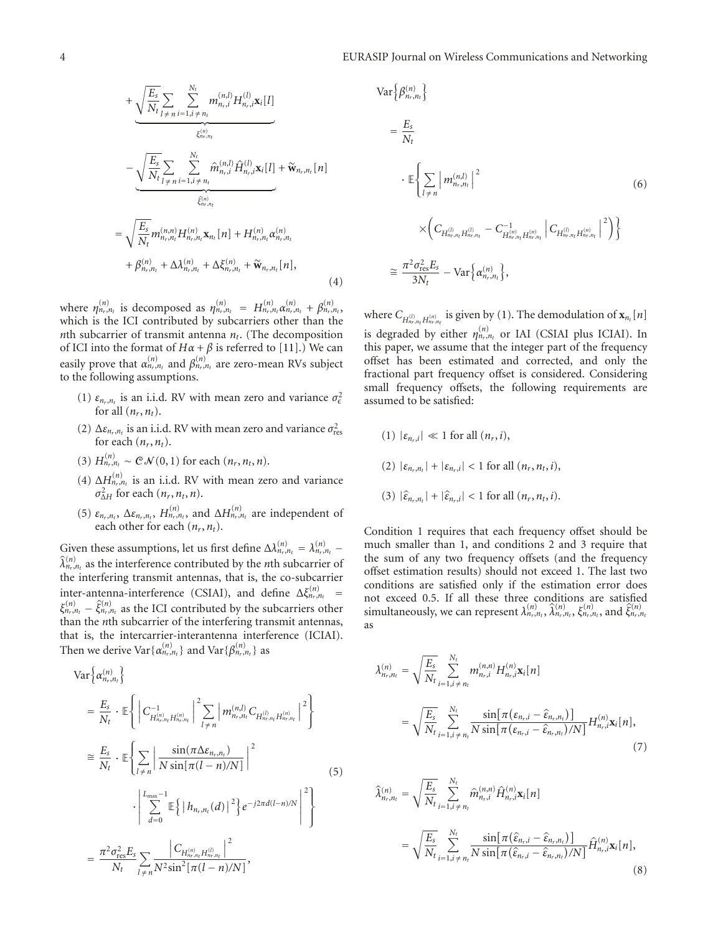$$
+\underbrace{\sqrt{\frac{E_s}{N_t}\sum_{l \neq n}}_{l \neq n} \sum_{i=1, i \neq n_t}^{N_t} m_{n_r,i}^{(n,l)} H_{n_r,i}^{(l)}\mathbf{x}_i[l]}_{\xi_{n_r,n_t}^{(n)}} - \underbrace{\sqrt{\frac{E_s}{N_t}\sum_{l \neq n} \sum_{i=1, i \neq n_t}^{N_t} \hat{m}_{n_r,i}^{(n,l)} \hat{H}_{n_r,i}^{(l)}\mathbf{x}_i[l]}_{\hat{\xi}_{n_r,n_t}^{(n)}} + \underbrace{\sqrt{\frac{E_s}{N_t}m_{n_r,n_t}^{(n,n)}H_{n_r,n_t}^{(n)}\mathbf{x}_{n_t}[n]}_{\xi_{n_r,n_t}^{(n)}} + \Delta \lambda_{n_r,n_t}^{(n)} + \Delta \xi_{n_r,n_t}^{(n)} + \widetilde{\mathbf{w}}_{n_r,n_t}[\mathbf{n}],
$$
\n(4)

where  $\eta_{n_r,n_t}^{(n)}$  is decomposed as  $\eta_{n_r,n_t}^{(n)} = H_{n_r,n_t}^{(n)} \alpha_{n_r,n_t}^{(n)} + \beta_{n_r,n_t}^{(n)}$ which is the ICI contributed by subcarriers other than the *nth* subcarrier of transmit antenna  $n_t$ . (The decomposition of ICI into the format of  $H\alpha + \beta$  is referred to [11].) We can easily prove that  $\alpha_{n_r,n_t}^{(n)}$  and  $\beta_{n_r,n_t}^{(n)}$  are zero-mean RVs subject to the following assumptions.

- (1)  $\varepsilon_{n_r,n_t}$  is an i.i.d. RV with mean zero and variance  $\sigma_{\epsilon}^2$ for all  $(n_r, n_t)$ .
- (2)  $\Delta \varepsilon_{n_r,n_t}$  is an i.i.d. RV with mean zero and variance  $\sigma_{\text{res}}^2$ for each  $(n_r, n_t)$ .
- (3)  $H_{n_r,n_t}^{(n)} \sim \mathcal{CN}(0,1)$  for each  $(n_r, n_t, n)$ .
- (4)  $\Delta H_{n_r,n_t}^{(n)}$  is an i.i.d. RV with mean zero and variance  $\sigma_{\Delta H}^2$  for each  $(n_r, n_t, n)$ .
- (5)  $\varepsilon_{n_r,n_t}$ ,  $\Delta \varepsilon_{n_r,n_t}$ ,  $H_{n_r,n_t}^{(n)}$ , and  $\Delta H_{n_r,n_t}^{(n)}$  are independent of each other for each  $(n_r, n_t)$ .

Given these assumptions, let us first define  $\Delta \lambda_{n_r,n_t}^{(n)} = \lambda_{n_r,n_t}^{(n)}$  $\hat{\lambda}_{n_r,n_t}^{(n)}$  as the interference contributed by the *n*th subcarrier of the interfering transmit antennas, that is, the co-subcarrier inter-antenna-interference (CSIAI), and define  $\Delta \xi_{n_r,n_t}^{(n)}$  =  $\xi_{n_r,n_t}^{(n)} - \hat{\xi}_{n_r,n_t}^{(n)}$  as the ICI contributed by the subcarriers other than the *n*th subcarrier of the interfering transmit antennas, that is, the intercarrier-interantenna interference (ICIAI). Then we derive Var $\{\alpha_{n_r,n_t}^{(n)}\}$  and Var $\{\beta_{n_r,n_t}^{(n)}\}$  as

$$
\operatorname{Var}\left\{\alpha_{n_{r},n_{t}}^{(n)}\right\} \\
= \frac{E_{s}}{N_{t}} \cdot \mathbb{E}\left\{\left|C_{H_{n_{r},n_{t}}^{(n)}H_{n_{r},n_{t}}^{(n)}}^{(1)}\right|^{2} \sum_{l \neq n} \left|m_{n_{r},n_{t}}^{(n)}C_{H_{n_{r},n_{t}}^{(n)}H_{n_{r},n_{t}}^{(n)}}\right|^{2}\right\} \\
\cong \frac{E_{s}}{N_{t}} \cdot \mathbb{E}\left\{\sum_{l \neq n} \left|\frac{\sin(\pi \Delta \varepsilon_{n_{r},n_{t}})}{N \sin[\pi(l-n)/N]}\right|^{2} \right\} \\
\cdot \left|\sum_{d=0}^{L_{\max}-1} \mathbb{E}\left\{\left|h_{n_{r},n_{t}}(d)\right|^{2}\right\} e^{-j2\pi d(l-n)/N}\right|^{2}\right\} \\
= \frac{\pi^{2} \sigma_{\text{res}}^{2} E_{s}}{N_{t}} \sum_{l \neq n} \frac{\left|C_{H_{n_{r},n_{t}}^{(n)}H_{n_{r},n_{t}}^{(l)}}\right|^{2}}{\left|\pi(l-n)/N\right|},
$$
\n(5)

$$
\operatorname{Var}\left\{\beta_{n_r,n_t}^{(n)}\right\}
$$
\n
$$
= \frac{E_s}{N_t}
$$
\n
$$
\cdot \mathbb{E}\left\{\sum_{l \neq n} \left| m_{n_r,n_l}^{(n,l)} \right|^2 \right\}
$$
\n
$$
\times \left(C_{H_{n_r,n_t}^{(l)} H_{n_r,n_t}^{(l)}} - C_{H_{n_r,n_t}^{(n)} H_{n_r,n_t}^{(n)}} \left| C_{H_{n_r,n_t}^{(l)} H_{n_r,n_t}^{(n)}} \right|^2 \right)\right\}
$$
\n
$$
\approx \frac{\pi^2 \sigma_{\text{res}}^2 E_s}{3N_t} - \operatorname{Var}\left\{\alpha_{n_r,n_t}^{(n)}\right\},
$$
\n(6)

where  $C_{H_{n_r,n_t}^{(l)} H_{n_r,n_t}^{(n)}}$  is given by (1). The demodulation of  $\mathbf{x}_{n_t}[n]$ is degraded by either  $\eta_{n_r,n_t}^{(n)}$  or IAI (CSIAI plus ICIAI). In this paper, we assume that the integer part of the frequency offset has been estimated and corrected, and only the fractional part frequency offset is considered. Considering small frequency offsets, the following requirements are assumed to be satisfied:

(1)  $|\varepsilon_{n_k,i}| \ll 1$  for all  $(n_r, i)$ , (2)  $|\varepsilon_{n_r,n_t}| + |\varepsilon_{n_r,i}| < 1$  for all  $(n_r, n_t, i)$ , (3)  $|\hat{\varepsilon}_{n_r,n_t}| + |\hat{\varepsilon}_{n_r,i}| < 1$  for all  $(n_r, n_t, i)$ .

Condition 1 requires that each frequency offset should be much smaller than 1, and conditions 2 and 3 require that the sum of any two frequency offsets (and the frequency offset estimation results) should not exceed 1. The last two conditions are satisfied only if the estimation error does not exceed 0.5. If all these three conditions are satisfied simultaneously, we can represent  $\lambda_{n_r,n_t}^{(n)}$ ,  $\hat{\lambda}_{n_r,n_t}^{(n)}$ ,  $\xi_{n_r,n_t}^{(n)}$ , and  $\hat{\xi}_{n_r,n_t}^{(n)}$ as

$$
\lambda_{n_r,n_t}^{(n)} = \sqrt{\frac{E_s}{N_t}} \sum_{i=1, i \neq n_t}^{N_t} m_{n_r,i}^{(n,n)} H_{n_r,i}^{(n)} \mathbf{x}_i[n]
$$
\n
$$
= \sqrt{\frac{E_s}{N_t}} \sum_{i=1, i \neq n_t}^{N_t} \frac{\sin[\pi(\varepsilon_{n_r,i} - \hat{\varepsilon}_{n_r,n_t})]}{\sqrt{N_t} \sin[\pi(\varepsilon_{n_r,i} - \hat{\varepsilon}_{n_r,n_t})/N]} H_{n_r,i}^{(n)} \mathbf{x}_i[n],
$$
\n(7)

$$
\hat{\lambda}_{n_{r},n_{t}}^{(n)} = \sqrt{\frac{E_{s}}{N_{t}}} \sum_{i=1, i \neq n_{t}}^{N_{t}} \hat{m}_{n_{r},i}^{(n,n)} \hat{H}_{n_{r},i}^{(n)} \mathbf{x}_{i}[n]
$$
\n
$$
= \sqrt{\frac{E_{s}}{N_{t}}} \sum_{i=1, i \neq n_{t}}^{N_{t}} \frac{\sin[\pi(\hat{\varepsilon}_{n_{r},i} - \hat{\varepsilon}_{n_{r},n_{t}})]}{N \sin[\pi(\hat{\varepsilon}_{n_{r},i} - \hat{\varepsilon}_{n_{r},n_{t}})/N]} \hat{H}_{n_{r},i}^{(n)} \mathbf{x}_{i}[n],
$$
\n(8)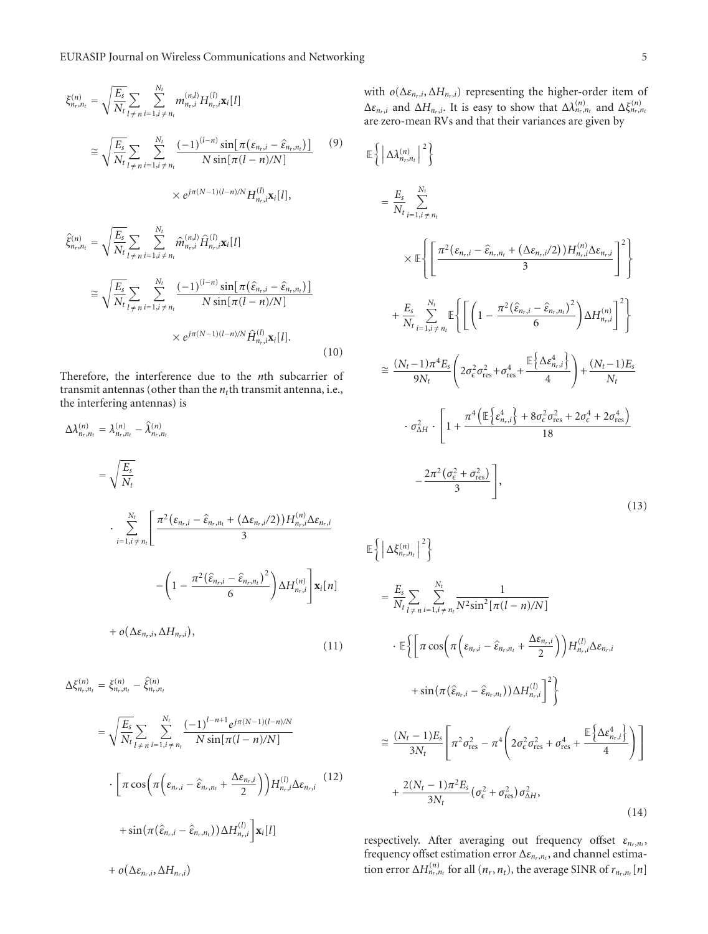$$
\xi_{n_r,n_t}^{(n)} = \sqrt{\frac{E_s}{N_t}} \sum_{l \neq n} \sum_{i=1, i \neq n_t}^{N_t} m_{n_r,i}^{(n,l)} H_{n_r,i}^{(l)} \mathbf{x}_i[l]
$$
\n
$$
\approx \sqrt{\frac{E_s}{N_t}} \sum_{l \neq n} \sum_{i=1, i \neq n_t}^{N_t} \frac{(-1)^{(l-n)} \sin[\pi(\varepsilon_{n_r,i} - \hat{\varepsilon}_{n_r,n_t})]}{N \sin[\pi(l-n)/N]}
$$
\n
$$
\times e^{j\pi(N-1)(l-n)/N} H_{n_r,i}^{(l)} \mathbf{x}_i[l],
$$
\n(9)

$$
\hat{\xi}_{n_r,n_t}^{(n)} = \sqrt{\frac{E_s}{N_t}} \sum_{l \neq n} \sum_{i=1, i \neq n_t}^{N_t} \hat{m}_{n_r,i}^{(n,l)} \hat{H}_{n_r,i}^{(l)} \mathbf{x}_i[l]
$$
\n
$$
\approx \sqrt{\frac{E_s}{N_t}} \sum_{l \neq n} \sum_{i=1, i \neq n_t}^{N_t} \frac{(-1)^{(l-n)} \sin[\pi(\hat{\varepsilon}_{n_r,i} - \hat{\varepsilon}_{n_r,n_t})]}{N \sin[\pi(l-n)/N]}
$$
\n
$$
\times e^{j\pi(N-1)(l-n)/N} \hat{H}_{n_r,i}^{(l)} \mathbf{x}_i[l].
$$
\n(10)

Therefore, the interference due to the *n*th subcarrier of transmit antennas (other than the  $n_t$ th transmit antenna, i.e., the interfering antennas) is

$$
\Delta \lambda_{n_r,n_t}^{(n)} = \lambda_{n_r,n_t}^{(n)} - \hat{\lambda}_{n_r,n_t}^{(n)}
$$
  
\n
$$
= \sqrt{\frac{E_s}{N_t}}
$$
  
\n
$$
\cdot \sum_{i=1, i \neq n_t}^{N_t} \left[ \frac{\pi^2 (\varepsilon_{n_r,i} - \hat{\varepsilon}_{n_r,n_t} + (\Delta \varepsilon_{n_r,i}/2)) H_{n_r,i}^{(n)} \Delta \varepsilon_{n_r,i}}{3} - \left( 1 - \frac{\pi^2 (\hat{\varepsilon}_{n_r,i} - \hat{\varepsilon}_{n_r,n_t})^2}{6} \right) \Delta H_{n_r,i}^{(n)} \right] \mathbf{x}_i[n]
$$
  
\n
$$
+ o(\Delta \varepsilon_{n_r,i}, \Delta H_{n_r,i}), \qquad (11)
$$

$$
\Delta \xi_{n_{r},n_{t}}^{(n)} = \xi_{n_{r},n_{t}}^{(n)} - \hat{\xi}_{n_{r},n_{t}}^{(n)}
$$
\n
$$
= \sqrt{\frac{E_{s}}{N_{t}} \sum_{l \neq n} \sum_{i=1, i \neq n_{t}}^{N_{t}} \frac{(-1)^{l-n+1} e^{j\pi(N-1)(l-n)/N}}{N \sin[\pi(l-n)/N]} \cdot \left[ \pi \cos\left(\pi \left(\varepsilon_{n_{r},i} - \hat{\varepsilon}_{n_{r},n_{t}} + \frac{\Delta \varepsilon_{n_{r},i}}{2}\right)\right) H_{n_{r},i}^{(l)} \Delta \varepsilon_{n_{r},i} \right] + \sin\left(\pi \left(\hat{\varepsilon}_{n_{r},i} - \hat{\varepsilon}_{n_{r},n_{t}}\right)\right) \Delta H_{n_{r},i}^{(l)} \right] \mathbf{x}_{i}[l] + o\left(\Delta \varepsilon_{n_{r},i}, \Delta H_{n_{r},i}\right)
$$
\n(12)

with  $o(\Delta \varepsilon_{n_r,i}, \Delta H_{n_r,i})$  representing the higher-order item of  $\Delta \varepsilon_{n_r,i}$  and  $\Delta H_{n_r,i}$ . It is easy to show that  $\Delta \lambda_{n_r,n_t}^{(n)}$  and  $\Delta \xi_{n_r,n_t}^{(n)}$ are zero-mean RVs and that their variances are given by

$$
\mathbb{E}\left\{\left|\Delta\lambda_{n_{r},n_{t}}^{(n)}\right|^{2}\right\}
$$
\n
$$
= \frac{E_{s}}{N_{t}}\sum_{i=1,i\neq n_{t}}^{N_{t}}\times \mathbb{E}\left\{\left[\frac{\pi^{2}\left(\varepsilon_{n_{r},i}-\hat{\varepsilon}_{n_{r},n_{t}}+\left(\Delta\varepsilon_{n_{r},i}/2\right)\right)H_{n_{r},i}^{(n)}\Delta\varepsilon_{n_{r},i}}{3}\right]^{2}\right\}
$$
\n
$$
+ \frac{E_{s}}{N_{t}}\sum_{i=1,i\neq n_{t}}^{N_{t}}\mathbb{E}\left\{\left[\left(1-\frac{\pi^{2}\left(\hat{\varepsilon}_{n_{r},i}-\hat{\varepsilon}_{n_{r},n_{t}}\right)^{2}}{6}\right)\Delta H_{n_{r},i}^{(n)}\right]^{2}\right\}
$$
\n
$$
\approx \frac{(N_{t}-1)\pi^{4}E_{s}}{9N_{t}}\left(2\sigma_{\varepsilon}^{2}\sigma_{\text{res}}^{2}+\sigma_{\text{res}}^{4}+\frac{\mathbb{E}\left\{\Delta\varepsilon_{n_{r},i}^{4}\right\}}{4}\right)+\frac{(N_{t}-1)E_{s}}{N_{t}}
$$
\n
$$
\cdot \sigma_{\Delta H}^{2}\cdot\left[1+\frac{\pi^{4}\left(\mathbb{E}\left\{\varepsilon_{n_{r},i}^{4}\right\}+8\sigma_{\varepsilon}^{2}\sigma_{\text{res}}^{2}+2\sigma_{\varepsilon}^{4}+2\sigma_{\text{res}}^{4}\right)}{18}\right]
$$
\n
$$
-\frac{2\pi^{2}\left(\sigma_{\varepsilon}^{2}+\sigma_{\text{res}}^{2}\right)}{3}\right],
$$
\n(13)

$$
\mathbb{E}\left\{\left|\Delta\xi_{n_r,n_t}^{(n)}\right|^2\right\}
$$
\n
$$
= \frac{E_s}{N_t} \sum_{l \neq n} \sum_{i=1, i \neq n_t}^{N_t} \frac{1}{N^2 \sin^2[\pi(l-n)/N]}
$$
\n
$$
\cdot \mathbb{E}\left\{\left[\pi \cos\left(\pi\left(\varepsilon_{n_r,i} - \hat{\varepsilon}_{n_r,n_t} + \frac{\Delta\varepsilon_{n_r,i}}{2}\right)\right)H_{n_r,i}^{(l)}\Delta\varepsilon_{n_r,i}\right.\right.
$$
\n
$$
+ \sin\left(\pi\left(\hat{\varepsilon}_{n_r,i} - \hat{\varepsilon}_{n_r,n_t}\right)\right)\Delta H_{n_r,i}^{(l)}\right\}^2\right\}
$$
\n
$$
\approx \frac{(N_t - 1)E_s}{3N_t} \left[\pi^2 \sigma_{\text{res}}^2 - \pi^4 \left(2\sigma_\varepsilon^2 \sigma_{\text{res}}^2 + \sigma_{\text{res}}^4 + \frac{\mathbb{E}\left\{\Delta\varepsilon_{n_r,i}^4\right\}}{4}\right)\right]
$$
\n
$$
+ \frac{2(N_t - 1)\pi^2 E_s}{3N_t} \left(\sigma_\varepsilon^2 + \sigma_{\text{res}}^2\right)\sigma_{\Delta H}^2,\tag{14}
$$

respectively. After averaging out frequency offset  $ε_{n_r,n_t}$ , frequency offset estimation error  $\Delta \varepsilon_{n_r,n_t}$ , and channel estimation error  $\Delta H_{n_r,n_t}^{(n)}$  for all  $(n_r, n_t)$ , the average SINR of  $r_{n_r,n_t}[n]$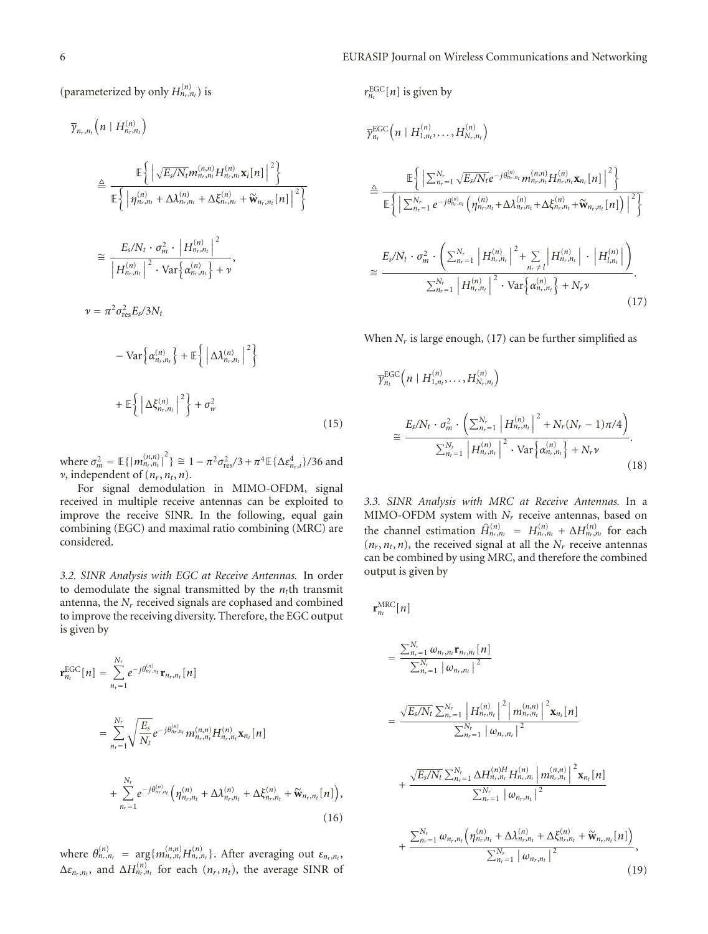(parameterized by only  $H_{n_r,n_t}^{(n)}$ ) is

$$
\overline{\gamma}_{n_r,n_t}\left(n \mid H_{n_r,n_t}^{(n)}\right)
$$
\n
$$
\triangleq \frac{\mathbb{E}\left\{\left|\sqrt{E_s/N_t}m_{n_r,n_t}^{(n,n)}H_{n_r,n_t}^{(n)}\mathbf{x}_i[n]\right|^2\right\}}{\mathbb{E}\left\{\left|\eta_{n_r,n_t}^{(n)} + \Delta\lambda_{n_r,n_t}^{(n)} + \Delta\xi_{n_r,n_t}^{(n)} + \widetilde{\mathbf{w}}_{n_r,n_t}[n]\right|^2\right\}}
$$
\n
$$
\cong \frac{E_s/N_t \cdot \sigma_m^2 \cdot \left|H_{n_r,n_t}^{(n)}\right|^2}{\left|H_{n_r,n_t}^{(n)}\right|^2 \cdot \text{Var}\left\{\alpha_{n_r,n_t}^{(n)}\right\} + \nu},
$$
\n
$$
\nu = \pi^2 \sigma_{\text{res}}^2 E_s / 3N_t
$$
\n
$$
-\text{Var}\left\{\alpha_{n_r,n_t}^{(n)}\right\} + \mathbb{E}\left\{\left|\Delta\lambda_{n_r,n_t}^{(n)}\right|^2\right\}
$$

$$
+ \mathbb{E}\left\{ \left| \Delta \xi_{n_r,n_t}^{(n)} \right|^2 \right\} + \sigma_w^2 \tag{15}
$$

 ${\rm where}$   $\sigma_m^2 = \mathbb{E}\{ |m_{n_r,n_t}^{(n,n)}|^2 \}$  ≅  $1 - \pi^2 \sigma_{\rm res}^2/3 + \pi^4 \mathbb{E}\{ \Delta \varepsilon_{n_r,i}^4 \}/36$  and  $\nu$ , independent of  $(n_r, n_t, n)$ .

For signal demodulation in MIMO-OFDM, signal received in multiple receive antennas can be exploited to improve the receive SINR. In the following, equal gain combining (EGC) and maximal ratio combining (MRC) are considered.

*3.2. SINR Analysis with EGC at Receive Antennas.* In order to demodulate the signal transmitted by the  $n_t$ <sup>th</sup> transmit antenna, the *Nr* received signals are cophased and combined to improve the receiving diversity. Therefore, the EGC output is given by

$$
\mathbf{r}_{n_t}^{\text{EGC}}[n] = \sum_{n_r=1}^{N_r} e^{-j\theta_{n_r,n_t}^{(n)}} \mathbf{r}_{n_r,n_t}[n]
$$
  
\n
$$
= \sum_{n_r=1}^{N_r} \sqrt{\frac{E_s}{N_t}} e^{-j\theta_{n_r,n_t}^{(n)}} m_{n_r,n_t}^{(n,n)} H_{n_r,n_t}^{(n)} \mathbf{x}_{n_t}[n]
$$
  
\n
$$
+ \sum_{n_r=1}^{N_r} e^{-j\theta_{n_r,n_t}^{(n)}} \left( \eta_{n_r,n_t}^{(n)} + \Delta \lambda_{n_r,n_t}^{(n)} + \Delta \xi_{n_r,n_t}^{(n)} + \widetilde{\mathbf{w}}_{n_r,n_t}[n] \right),
$$
  
\n(16)

where  $\theta_{n_r,n_t}^{(n)} = \arg\{m_{n_r,n_t}^{(n,n)}H_{n_r,n_t}^{(n)}\}$ . After averaging out  $\varepsilon_{n_r,n_t}$ ,  $\Delta \varepsilon_{n_r,n_t}$ , and  $\Delta H_{n_r,n_t}^{(n)}$  for each  $(n_r, n_t)$ , the average SINR of

$$
r_{n_t}^{\text{EGC}}[n] \text{ is given by}
$$
\n
$$
\overline{\gamma}_{n_t}^{\text{EGC}}(n | H_{1,n_t}^{(n)}, \dots, H_{N_r,n_t}^{(n)})
$$
\n
$$
\stackrel{\triangle}{=} \frac{\mathbb{E}\left\{ \left| \sum_{n_r=1}^{N_r} \sqrt{E_s/N_t} e^{-j\theta_{n_r,n_t}^{(n)}} m_{n_r,n_t}^{(n,n)} H_{n_r,n_t}^{(n)} \mathbf{X}_{n_t}[n] \right|^2 \right\}}{\mathbb{E}\left\{ \left| \sum_{n_r=1}^{N_r} e^{-j\theta_{n_r,n_t}^{(n)}} \left( \eta_{n_r,n_t}^{(n)} + \Delta \lambda_{n_r,n_t}^{(n)} + \Delta \xi_{n_r,n_t}^{(n)} + \widetilde{\mathbf{w}}_{n_r,n_t}[n] \right) \right|^2 \right\}}
$$
\n
$$
\geq \frac{E_s/N_t \cdot \sigma_m^2 \cdot \left( \sum_{n_r=1}^{N_r} \left| H_{n_r,n_t}^{(n)} \right|^2 + \sum_{n_r \neq l} \left| H_{n_r,n_t}^{(n)} \right| \cdot \left| H_{n_r}^{(n)} \right| \right)}{\sum_{n_r=1}^{N_r} \left| H_{n_r,n_t}^{(n)} \right|^2 \cdot \text{Var}\left\{ \alpha_{n_r,n_t}^{(n)} \right\} + N_r \nu}.
$$
\n(17)

When  $N_r$  is large enough, (17) can be further simplified as

$$
\overline{\gamma}_{n_t}^{\text{EGC}}\left(n \mid H_{1,n_t}^{(n)}, \dots, H_{N_r, n_t}^{(n)}\right)
$$
\n
$$
\cong \frac{E_s/N_t \cdot \sigma_m^2 \cdot \left(\sum_{n_r=1}^{N_r} \left|H_{n_r,n_t}^{(n)}\right|^2 + N_r(N_r - 1)\pi/4\right)}{\sum_{n_r=1}^{N_r} \left|H_{n_r,n_t}^{(n)}\right|^2 \cdot \text{Var}\left\{\alpha_{n_r,n_t}^{(n)}\right\} + N_r \nu}.
$$
\n(18)

*3.3. SINR Analysis with MRC at Receive Antennas.* In a MIMO-OFDM system with  $N_r$  receive antennas, based on the channel estimation  $\hat{H}_{n_r,n_t}^{(n)} = H_{n_r,n_t}^{(n)} + \Delta H_{n_r,n_t}^{(n)}$  for each  $(n_r, n_t, n)$ , the received signal at all the  $N_r$  receive antennas can be combined by using MRC, and therefore the combined output is given by

$$
\mathbf{r}_{n_t}^{\text{MRC}}[n]
$$

$$
= \frac{\sum_{n_{r}=1}^{N_{r}} \omega_{n_{r},n_{t}} \mathbf{r}_{n_{r},n_{t}}[n]}{\sum_{n_{r}=1}^{N_{r}} |\omega_{n_{r},n_{t}}|^{2}}
$$
  
\n
$$
= \frac{\sqrt{E_{s}/N_{t}} \sum_{n_{r}=1}^{N_{r}} |H_{n_{r},n_{t}}^{(n)}|^{2} |m_{n_{r},n_{t}}^{(n,n)}|^{2} \mathbf{x}_{n_{t}}[n]}{\sum_{n_{r}=1}^{N_{r}} |\omega_{n_{r},n_{t}}|^{2}}
$$
  
\n
$$
+ \frac{\sqrt{E_{s}/N_{t}} \sum_{n_{r}=1}^{N_{r}} \Delta H_{n_{r},n_{t}}^{(n)H} H_{n_{r},n_{t}}^{(n)} |m_{n_{r},n_{t}}^{(n,n)}|^{2} \mathbf{x}_{n_{t}}[n]}{\sum_{n_{r}=1}^{N_{r}} |\omega_{n_{r},n_{t}}|^{2}}
$$
  
\n
$$
+ \frac{\sum_{n_{r}=1}^{N_{r}} \omega_{n_{r},n_{t}} (\eta_{n_{r},n_{t}}^{(n)} + \Delta \lambda_{n_{r},n_{t}}^{(n)} + \Delta \xi_{n_{r},n_{t}}^{(n)} + \tilde{\mathbf{w}}_{n_{r},n_{t}}[n])}{\sum_{n_{r}=1}^{N_{r}} |\omega_{n_{r},n_{t}}|^{2}},
$$
\n(19)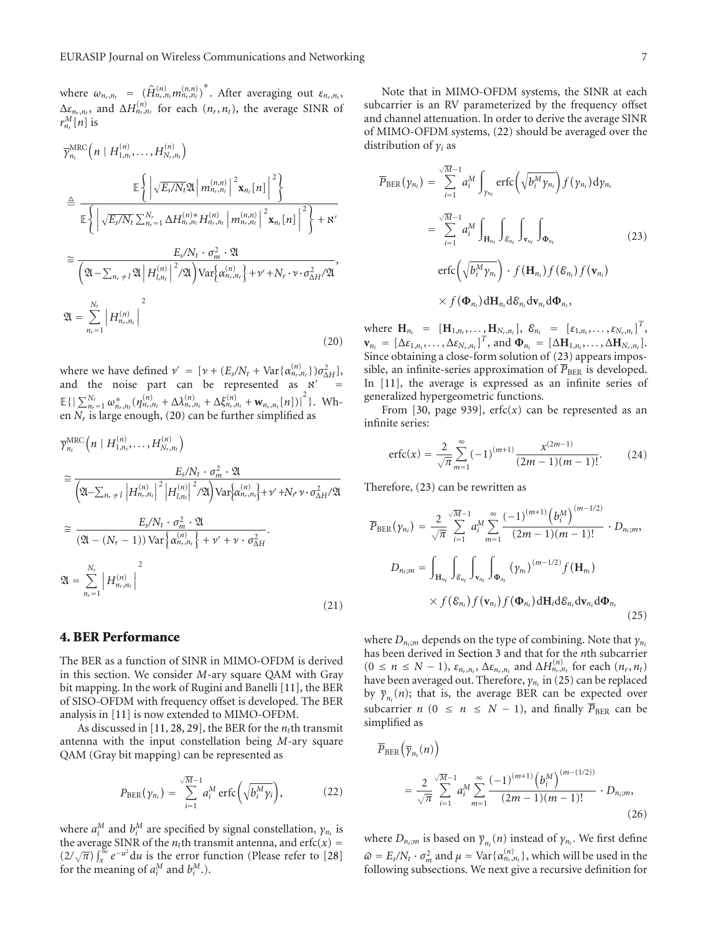where  $\omega_{n_r,n_t} = (\hat{H}_{n_r,n_t}^{(n)}, m_{n_r,n_t}^{(n,n)})^*$ . After averaging out  $\varepsilon_{n_r,n_t}$ ,  $\Delta \varepsilon_{n_r,n_t}$ , and  $\Delta H_{n_r,n_t}^{(n)}$  for each  $(n_r,n_t)$ , the average SINR of  $r_{n_t}^M[n]$  is

$$
\overline{\gamma}_{n_{t}}^{\text{MRC}}\left(n \mid H_{1,n_{t}}^{(n)}, \ldots, H_{N_{r},n_{t}}^{(n)}\right)
$$
\n
$$
\triangleq \frac{\mathbb{E}\left\{\left|\sqrt{E_{s}/N_{t}}\mathfrak{A}\left|m_{n_{r},n_{t}}^{(n,n)}\right|^{2}\mathbf{x}_{n_{t}}[n]\right|^{2}\right\}}{\mathbb{E}\left\{\left|\sqrt{E_{s}/N_{t}}\sum_{n_{r}=1}^{N_{r}}\Delta H_{n_{r},n_{t}}^{(n)*}H_{n_{r},n_{t}}^{(n)}\left|m_{n_{r},n_{t}}^{(n,n)}\right|^{2}\mathbf{x}_{n_{t}}[n]\right|^{2}\right\} + \mathbb{N}^{\prime}}
$$
\n
$$
\cong \frac{E_{s}/N_{t} \cdot \sigma_{m}^{2} \cdot \mathfrak{A}}{\left(\mathfrak{A}-\sum_{n_{r}\neq1}\mathfrak{A}\left|H_{l,n_{t}}^{(n)}\right|^{2}/\mathfrak{A}\right)\text{Var}\left\{\alpha_{n_{r},n_{t}}^{(n)}\right\} + \mathbb{W}^{\prime} + N_{r} \cdot \mathbb{W} \cdot \sigma_{\Delta H}^{2}/\mathfrak{A}}},
$$
\n
$$
\mathfrak{A} = \sum_{n_{r}=1}^{N_{r}}\left|H_{n_{r},n_{t}}^{(n)}\right|^{2}
$$
\n(20)

where we have defined  $\nu' = [\nu + (E_s/N_t + \text{Var}\{\alpha_{n_r,n_t}^{(n)}\})\sigma_{\Delta H}^2]$ , and the noise part can be represented as  $x'$  $\mathbb{E}\left\{\left[\sum_{n_r=1}^{N_r} \omega^{*}_{n_r,n_t}(\eta^{(n)}_{n_r,n_t} + \Delta\lambda^{(n)}_{n_r,n_t} + \Delta\xi^{(n)}_{n_r,n_t} + \mathbf{w}_{n_r,n_t}[n])\right]^2\right\}.$  When  $N_r$  is large enough, (20) can be further simplified as

$$
\overline{\gamma}_{n_t}^{\text{MRC}}\left(n \mid H_{1,n_t}^{(n)}, \dots, H_{N_r,n_t}^{(n)}\right)
$$
\n
$$
\approx \frac{E_s/N_t \cdot \sigma_m^2 \cdot \mathfrak{A}}{\left(\mathfrak{A} - \sum_{n_r \neq l} |H_{n_r,n_t}^{(n)}|^2 |H_{l,n_t}^{(n)}|^2 / \mathfrak{A}\right) \text{Var}\left\{\alpha_{n_r,n_t}^{(n)}\right\} + \nu' + N_r \nu \cdot \sigma_{\Delta H}^2 / \mathfrak{A}}
$$
\n
$$
\approx \frac{E_s/N_t \cdot \sigma_m^2 \cdot \mathfrak{A}}{\left(\mathfrak{A} - (N_r - 1)\right) \text{Var}\left\{\alpha_{n_r,n_t}^{(n)}\right\} + \nu' + \nu \cdot \sigma_{\Delta H}^2}.
$$
\n
$$
\mathfrak{A} = \sum_{n_r=1}^{N_r} |H_{n_r,n_t}^{(n)}| \tag{21}
$$

## **4. BER Performance**

The BER as a function of SINR in MIMO-OFDM is derived in this section. We consider *M*-ary square QAM with Gray bit mapping. In the work of Rugini and Banelli [11], the BER of SISO-OFDM with frequency offset is developed. The BER analysis in [11] is now extended to MIMO-OFDM.

As discussed in [11, 28, 29], the BER for the  $n_t$ <sup>th</sup> transmit antenna with the input constellation being *M*-ary square QAM (Gray bit mapping) can be represented as

$$
P_{\text{BER}}(\gamma_{n_t}) = \sum_{i=1}^{\sqrt{M}-1} a_i^M \operatorname{erfc}\left(\sqrt{b_i^M \gamma_i}\right), \qquad (22)
$$

where  $a_i^M$  and  $b_i^M$  are specified by signal constellation,  $\gamma_{n_t}$  is the average SINR of the  $n_t$ th transmit antenna, and erfc( $x$ ) =  $(2/\sqrt{\pi}) \int_{x}^{\infty} e^{-u^2} du$  is the error function (Please refer to [28] for the meaning of  $a_i^M$  and  $b_i^M$ .).

Note that in MIMO-OFDM systems, the SINR at each subcarrier is an RV parameterized by the frequency offset and channel attenuation. In order to derive the average SINR of MIMO-OFDM systems, (22) should be averaged over the distribution of *γi* as

$$
\overline{P}_{\text{BER}}(\gamma_{n_t}) = \sum_{i=1}^{\sqrt{M}-1} a_i^M \int_{\gamma_{n_t}} \text{erfc}\left(\sqrt{b_i^M \gamma_{n_t}}\right) f(\gamma_{n_t}) d\gamma_{n_t}
$$
\n
$$
= \sum_{i=1}^{\sqrt{M}-1} a_i^M \int_{\mathbf{H}_{n_t}} \int_{\mathcal{E}_{n_t}} \int_{\mathbf{v}_{n_t}} \int_{\mathbf{\Phi}_{n_t}} \text{(23)}
$$
\n
$$
\text{erfc}\left(\sqrt{b_i^M \gamma_{n_t}}\right) \cdot f(\mathbf{H}_{n_t}) f(\mathcal{E}_{n_t}) f(\mathbf{v}_{n_t})
$$
\n
$$
\times f(\mathbf{\Phi}_{n_t}) d\mathbf{H}_{n_t} d\mathcal{E}_{n_t} d\mathbf{v}_{n_t} d\mathbf{\Phi}_{n_t},
$$

where  $\mathbf{H}_{n_t} = [\mathbf{H}_{1,n_t}, \dots, \mathbf{H}_{N_r,n_t}], \ \mathcal{E}_{n_t} = [\varepsilon_{1,n_t}, \dots, \varepsilon_{N_r,n_t}]^T$  $\mathbf{v}_{n_t} = [\Delta \varepsilon_{1,n_t}, \ldots, \Delta \varepsilon_{N_r,n_t}]^T$ , and  $\mathbf{\Phi}_{n_t} = [\Delta \mathbf{H}_{1,n_t}, \ldots, \Delta \mathbf{H}_{N_r,n_t}].$ Since obtaining a close-form solution of (23) appears impossible, an infinite-series approximation of  $\overline{P}_{BER}$  is developed. In [11], the average is expressed as an infinite series of generalized hypergeometric functions.

From [30, page 939],  $erfc(x)$  can be represented as an infinite series:

$$
\operatorname{erfc}(x) = \frac{2}{\sqrt{\pi}} \sum_{m=1}^{\infty} (-1)^{(m+1)} \frac{x^{(2m-1)}}{(2m-1)(m-1)!}.
$$
 (24)

Therefore, (23) can be rewritten as

$$
\overline{P}_{\text{BER}}(\gamma_{n_t}) = \frac{2}{\sqrt{\pi}} \sum_{i=1}^{\sqrt{M}-1} a_i^M \sum_{m=1}^{\infty} \frac{(-1)^{(m+1)} (b_i^M)^{(m-1/2)}}{(2m-1)(m-1)!} \cdot D_{n_t;m},
$$
\n
$$
D_{n_t;m} = \int_{\mathbf{H}_{n_t}} \int_{\mathcal{E}_{n_t}} \int_{\mathbf{v}_{n_t}} \int_{\mathbf{\Phi}_{n_t}} (\gamma_{n_t})^{(m-1/2)} f(\mathbf{H}_{n_t})
$$
\n
$$
\times f(\mathcal{E}_{n_t}) f(\mathbf{v}_{n_t}) f(\mathbf{\Phi}_{n_t}) \, d\mathbf{H}_i d\mathcal{E}_{n_t} d\mathbf{v}_{n_t} d\mathbf{\Phi}_{n_t}
$$
\n(25)

where *D<sub>n<sub>t</sub>;m</sub>* depends on the type of combining. Note that *γ<sub>nt</sub>* has been derived in Section 3 and that for the *n*th subcarrier  $(0 \le n \le N-1)$ ,  $\varepsilon_{n_r,n_t}$ ,  $\Delta \varepsilon_{n_r,n_t}$  and  $\Delta H_{n_r,n_t}^{(n)}$  for each  $(n_r, n_t)$ have been averaged out. Therefore,  $γ_{n_t}$  in (25) can be replaced by  $\overline{\gamma}_{n_t}(n)$ ; that is, the average BER can be expected over subcarrier *n* (0 ≤ *n* ≤ *N* − 1), and finally  $\overline{P}_{BER}$  can be simplified as

$$
\overline{P}_{BER}(\overline{\gamma}_{n_t}(n)) = \frac{2}{\sqrt{\pi}} \sum_{i=1}^{\sqrt{M}-1} a_i^M \sum_{m=1}^{\infty} \frac{(-1)^{(m+1)} (b_i^M)^{(m-(1/2))}}{(2m-1)(m-1)!} \cdot D_{n_t;m},
$$
\n(26)

where  $D_{n_t;m}$  is based on  $\overline{\gamma}_{n_t}(n)$  instead of  $\gamma_{n_t}$ . We first define  $\varpi = E_s/N_t \cdot \sigma_m^2$  and  $\mu = \text{Var}\{\alpha_{n_r,n_t}^{(n)}\}$ , which will be used in the following subsections. We next give a recursive definition for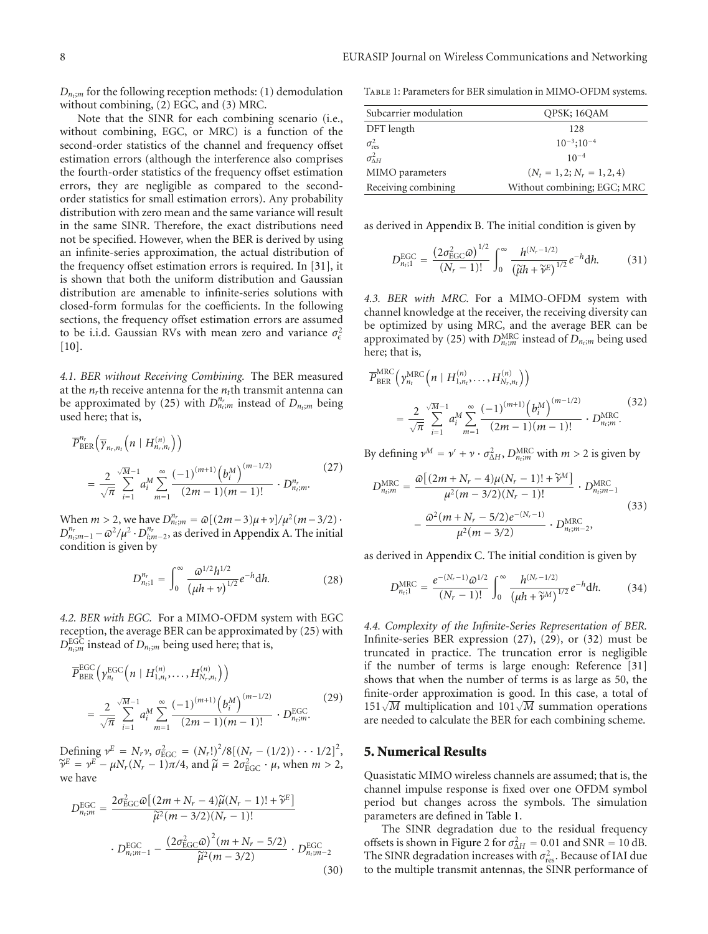$D_{n,m}$  for the following reception methods: (1) demodulation without combining, (2) EGC, and (3) MRC.

Note that the SINR for each combining scenario (i.e., without combining, EGC, or MRC) is a function of the second-order statistics of the channel and frequency offset estimation errors (although the interference also comprises the fourth-order statistics of the frequency offset estimation errors, they are negligible as compared to the secondorder statistics for small estimation errors). Any probability distribution with zero mean and the same variance will result in the same SINR. Therefore, the exact distributions need not be specified. However, when the BER is derived by using an infinite-series approximation, the actual distribution of the frequency offset estimation errors is required. In [31], it is shown that both the uniform distribution and Gaussian distribution are amenable to infinite-series solutions with closed-form formulas for the coefficients. In the following sections, the frequency offset estimation errors are assumed to be i.i.d. Gaussian RVs with mean zero and variance  $\sigma_{\epsilon}^2$  $[10]$ .

*4.1. BER without Receiving Combining.* The BER measured at the  $n_r$ th receive antenna for the  $n_t$ th transmit antenna can be approximated by (25) with  $D_{n_l;m}^{n_r}$  instead of  $D_{n_l;m}$  being used here; that is,

$$
\overline{P}_{BER}^{n_r}\left(\overline{\gamma}_{n_r,n_t}\left(n \mid H_{n_r,n_t}^{(n)}\right)\right) = \frac{2}{\sqrt{\pi}} \sum_{i=1}^{\sqrt{M}-1} a_i^M \sum_{m=1}^{\infty} \frac{(-1)^{(m+1)} \left(b_i^M\right)^{(m-1/2)}}{(2m-1)(m-1)!} \cdot D_{n_r,m}^{n_r}.
$$
\n(27)

When  $m > 2$ , we have  $D_{n_l;m}^{n_r} = \omega[(2m-3)\mu + \nu]/\mu^2(m-3/2)$ ·  $D_{n_l; m-1}^{n_r} - \omega^2 / \mu^2 \cdot D_{i; m-2}^{n_r}$ , as derived in Appendix A. The initial condition is given by

$$
D_{n_{t};1}^{n_{r}} = \int_{0}^{\infty} \frac{\omega^{1/2} h^{1/2}}{\left(\mu h + \nu\right)^{1/2}} e^{-h} dh.
$$
 (28)

*4.2. BER with EGC.* For a MIMO-OFDM system with EGC reception, the average BER can be approximated by (25) with  $D_{n_t;m}^{\text{EGC}}$  instead of  $D_{n_t;m}$  being used here; that is,

$$
\overline{P}_{\text{BER}}^{\text{EGC}}\left(\gamma_{n_t}^{\text{EGC}}\left(n \mid H_{1,n_t}^{(n)},\ldots,H_{N_r,n_t}^{(n)}\right)\right) = \frac{2}{\sqrt{\pi}} \sum_{i=1}^{\sqrt{M}-1} a_i^M \sum_{m=1}^{\infty} \frac{(-1)^{(m+1)} \left(b_i^M\right)^{(m-1/2)}}{(2m-1)(m-1)!} \cdot D_{n_t;m}^{\text{EGC}}.
$$
\n(29)

Defining  $v^E = N_r v$ ,  $\sigma_{\text{EGC}}^2 = (N_r!)^2 / 8[(N_r - (1/2)) \cdots 1/2]^2$ , *ν*<sup>E</sup> =  $ν^E - μN_r(N_r - 1)\pi/4$ , and  $\tilde{\mu} = 2\sigma_{\text{EGC}}^2 \cdot \mu$ , when  $m > 2$ , we have

$$
D_{n_i;m}^{\text{EGC}} = \frac{2\sigma_{\text{EGC}}^2 \omega \left[ (2m + N_r - 4)\widetilde{\mu}(N_r - 1)! + \widetilde{\gamma}^E \right]}{\widetilde{\mu}^2 (m - 3/2)(N_r - 1)!} \cdot D_{n_i;m-1}^{\text{EGC}} - \frac{\left( 2\sigma_{\text{EGC}}^2 \omega \right)^2 (m + N_r - 5/2)}{\widetilde{\mu}^2 (m - 3/2)} \cdot D_{n_i;m-2}^{\text{EGC}} \tag{30}
$$

Table 1: Parameters for BER simulation in MIMO-OFDM systems.

| Subcarrier modulation   | OPSK; 16QAM                   |
|-------------------------|-------------------------------|
| DFT length              | 128                           |
| $\sigma_{\text{res}}^2$ | $10^{-3}$ ; $10^{-4}$         |
| $\sigma_{\Lambda H}^2$  | $10^{-4}$                     |
| MIMO parameters         | $(N_t = 1, 2; N_r = 1, 2, 4)$ |
| Receiving combining     | Without combining; EGC; MRC   |

as derived in Appendix B. The initial condition is given by

$$
D_{n_{t};1}^{\text{EGC}} = \frac{\left(2\sigma_{\text{EGC}}^{2}\omega\right)^{1/2}}{(N_{r}-1)!} \int_{0}^{\infty} \frac{h^{(N_{r}-1/2)}}{\left(\widetilde{\mu}h + \widetilde{\nu}^{E}\right)^{1/2}} e^{-h} dh. \tag{31}
$$

*4.3. BER with MRC.* For a MIMO-OFDM system with channel knowledge at the receiver, the receiving diversity can be optimized by using MRC, and the average BER can be approximated by (25) with  $D_{n_t;m}^{\text{MRC}}$  instead of  $D_{n_t;m}$  being used here; that is,

$$
\overline{P}_{\text{BER}}^{\text{MRC}}\left(\gamma_{n_t}^{\text{MRC}}\left(n \mid H_{1,n_t}^{(n)},\ldots,H_{N_r,n_t}^{(n)}\right)\right) = \frac{2}{\sqrt{\pi}} \sum_{i=1}^{\sqrt{M}-1} a_i^M \sum_{m=1}^{\infty} \frac{(-1)^{(m+1)} \left(b_i^M\right)^{(m-1/2)}}{(2m-1)(m-1)!} \cdot D_{n_t,m}^{\text{MRC}}.
$$
\n(32)

By defining  $v^M = v' + v \cdot \sigma_{\Delta H}^2$ ,  $D_{n_t;m}^{\text{MRC}}$  with  $m > 2$  is given by

$$
D_{n_i;m}^{\text{MRC}} = \frac{\varpi \left[ (2m + N_r - 4) \mu (N_r - 1)! + \tilde{\gamma}^M \right]}{\mu^2 (m - 3/2)(N_r - 1)!} \cdot D_{n_i;m-1}^{\text{MRC}} - \frac{\varpi^2 (m + N_r - 5/2) e^{-(N_r - 1)}}{\mu^2 (m - 3/2)} \cdot D_{n_i;m-2}^{\text{MRC}},
$$
(33)

as derived in Appendix C. The initial condition is given by

$$
D_{n_{t};1}^{\text{MRC}} = \frac{e^{-(N_{r}-1)}\omega^{1/2}}{(N_{r}-1)!} \int_{0}^{\infty} \frac{h^{(N_{r}-1/2)}}{\left(\mu h + \widetilde{\gamma}^{M}\right)^{1/2}} e^{-h} dh. \tag{34}
$$

*4.4. Complexity of the Infinite-Series Representation of BER.* Infinite-series BER expression (27), (29), or (32) must be truncated in practice. The truncation error is negligible if the number of terms is large enough: Reference [31] shows that when the number of terms is as large as 50, the finite-order approximation is good. In this case, a total of 151√ $\overline{M}$  multiplication and 101√ $\overline{M}$  summation operations are needed to calculate the BER for each combining scheme.

#### **5. Numerical Results**

Quasistatic MIMO wireless channels are assumed; that is, the channel impulse response is fixed over one OFDM symbol period but changes across the symbols. The simulation parameters are defined in Table 1.

The SINR degradation due to the residual frequency offsets is shown in Figure 2 for  $\sigma_{\Delta H}^2 = 0.01$  and SNR = 10 dB. The SINR degradation increases with  $\sigma_{\rm res}^2$ . Because of IAI due to the multiple transmit antennas, the SINR performance of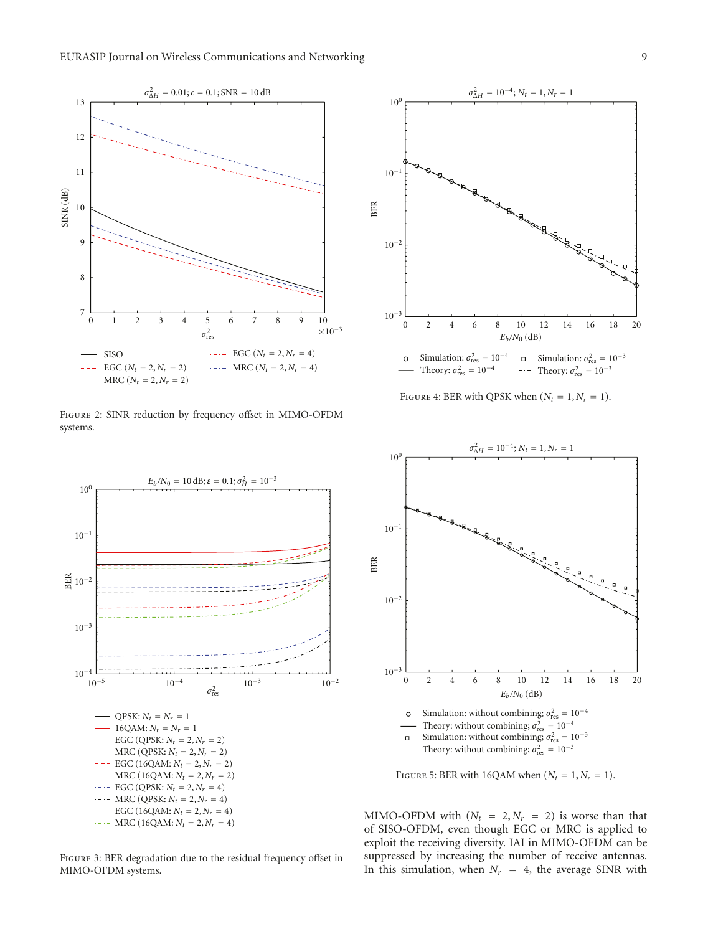

Figure 2: SINR reduction by frequency offset in MIMO-OFDM systems.



Figure 3: BER degradation due to the residual frequency offset in MIMO-OFDM systems.



FIGURE 4: BER with QPSK when  $(N_t = 1, N_r = 1)$ .



FIGURE 5: BER with 16QAM when  $(N_t = 1, N_r = 1)$ .

MIMO-OFDM with  $(N_t = 2, N_r = 2)$  is worse than that of SISO-OFDM, even though EGC or MRC is applied to exploit the receiving diversity. IAI in MIMO-OFDM can be suppressed by increasing the number of receive antennas. In this simulation, when  $N_r = 4$ , the average SINR with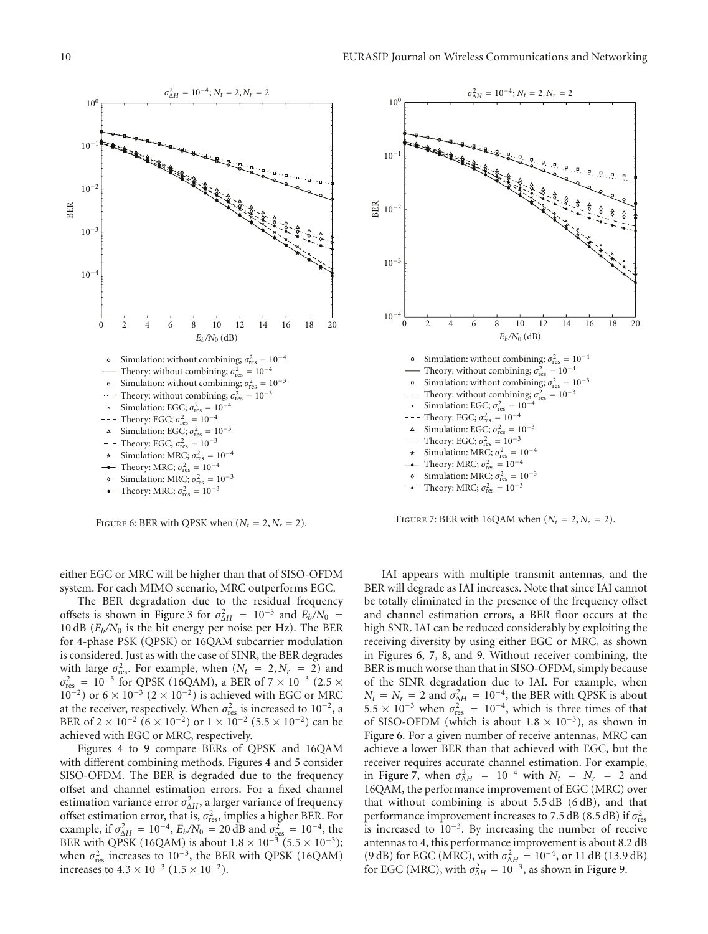

FIGURE 6: BER with QPSK when  $(N_t = 2, N_r = 2)$ .

either EGC or MRC will be higher than that of SISO-OFDM system. For each MIMO scenario, MRC outperforms EGC.

The BER degradation due to the residual frequency offsets is shown in Figure 3 for  $\sigma_{\Delta H}^2 = 10^{-3}$  and  $E_b/N_0 =$ 10 dB  $(E_b/N_0)$  is the bit energy per noise per Hz). The BER for 4-phase PSK (QPSK) or 16QAM subcarrier modulation is considered. Just as with the case of SINR, the BER degrades with large  $\sigma_{\text{res}}^2$ . For example, when  $(N_t = 2, N_r = 2)$  and  $\sigma_{\rm res}^2 = 10^{-5}$  for QPSK (16QAM), a BER of 7 × 10<sup>-3</sup> (2.5 ×  $10^{-2}$ ) or 6 × 10<sup>-3</sup> (2 × 10<sup>-2</sup>) is achieved with EGC or MRC at the receiver, respectively. When  $\sigma_{\text{res}}^2$  is increased to 10<sup>-2</sup>, a BER of  $2 \times 10^{-2}$  (6 × 10<sup>-2</sup>) or  $1 \times 10^{-2}$  (5.5 × 10<sup>-2</sup>) can be achieved with EGC or MRC, respectively.

Figures 4 to 9 compare BERs of QPSK and 16QAM with different combining methods. Figures 4 and 5 consider SISO-OFDM. The BER is degraded due to the frequency offset and channel estimation errors. For a fixed channel estimation variance error  $\sigma_{\Delta H}^2$ , a larger variance of frequency offset estimation error, that is,  $\sigma_{\text{res}}^2$ , implies a higher BER. For example, if  $\sigma_{\Delta H}^2 = 10^{-4}$ ,  $E_b/N_0 = 20$  dB and  $\sigma_{\text{res}}^2 = 10^{-4}$ , the BER with QPSK (16QAM) is about  $1.8 \times 10^{-3}$  (5.5 × 10<sup>-3</sup>); when  $\sigma_{\text{res}}^2$  increases to 10<sup>-3</sup>, the BER with QPSK (16QAM) increases to  $4.3 \times 10^{-3}$  ( $1.5 \times 10^{-2}$ ).



FIGURE 7: BER with 16QAM when  $(N_t = 2, N_r = 2)$ .

IAI appears with multiple transmit antennas, and the BER will degrade as IAI increases. Note that since IAI cannot be totally eliminated in the presence of the frequency offset and channel estimation errors, a BER floor occurs at the high SNR. IAI can be reduced considerably by exploiting the receiving diversity by using either EGC or MRC, as shown in Figures 6, 7, 8, and 9. Without receiver combining, the BER is much worse than that in SISO-OFDM, simply because of the SINR degradation due to IAI. For example, when  $N_t = N_r = 2$  and  $\sigma_{\Delta H}^2 = 10^{-4}$ , the BER with QPSK is about  $5.5 \times 10^{-3}$  when  $\sigma_{\text{res}}^2 = 10^{-4}$ , which is three times of that of SISO-OFDM (which is about  $1.8 \times 10^{-3}$ ), as shown in Figure 6. For a given number of receive antennas, MRC can achieve a lower BER than that achieved with EGC, but the receiver requires accurate channel estimation. For example, in Figure 7, when  $\sigma_{\Delta H}^2 = 10^{-4}$  with  $N_t = N_r = 2$  and 16QAM, the performance improvement of EGC (MRC) over that without combining is about  $5.5 \, \text{dB}$  (6 dB), and that performance improvement increases to 7.5 dB (8.5 dB) if  $\sigma_{\rm res}^2$ is increased to 10−3. By increasing the number of receive antennas to 4, this performance improvement is about 8.2 dB (9 dB) for EGC (MRC), with  $\sigma_{\Delta H}^2 = 10^{-4}$ , or 11 dB (13.9 dB) for EGC (MRC), with  $\sigma_{\Delta H}^2 = 10^{-3}$ , as shown in Figure 9.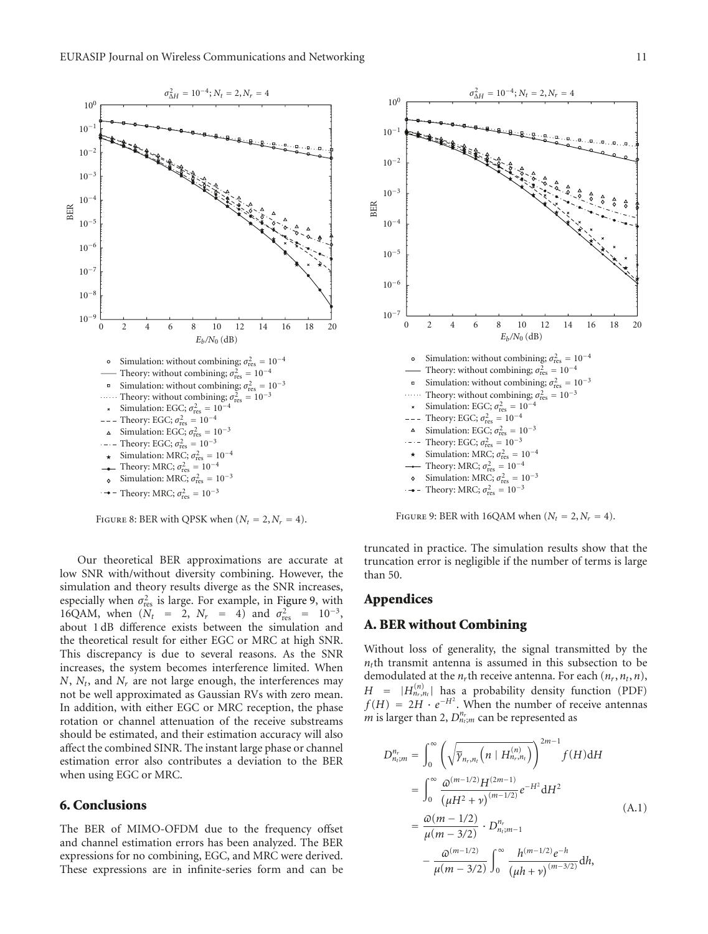



FIGURE 8: BER with QPSK when  $(N_t = 2, N_r = 4)$ .

Our theoretical BER approximations are accurate at low SNR with/without diversity combining. However, the simulation and theory results diverge as the SNR increases, especially when  $\sigma_{\text{res}}^2$  is large. For example, in Figure 9, with 16QAM, when  $(N_t = 2, N_r = 4)$  and  $\sigma_{res}^2 = 10^{-3}$ , about 1 dB difference exists between the simulation and the theoretical result for either EGC or MRC at high SNR. This discrepancy is due to several reasons. As the SNR increases, the system becomes interference limited. When *N*, *Nt*, and *Nr* are not large enough, the interferences may not be well approximated as Gaussian RVs with zero mean. In addition, with either EGC or MRC reception, the phase rotation or channel attenuation of the receive substreams should be estimated, and their estimation accuracy will also affect the combined SINR. The instant large phase or channel estimation error also contributes a deviation to the BER when using EGC or MRC.

#### **6. Conclusions**

The BER of MIMO-OFDM due to the frequency offset and channel estimation errors has been analyzed. The BER expressions for no combining, EGC, and MRC were derived. These expressions are in infinite-series form and can be



FIGURE 9: BER with 16QAM when  $(N_t = 2, N_r = 4)$ .

truncated in practice. The simulation results show that the truncation error is negligible if the number of terms is large than 50.

#### **Appendices**

## **A. BER without Combining**

Without loss of generality, the signal transmitted by the  $n<sub>t</sub>$ th transmit antenna is assumed in this subsection to be demodulated at the  $n_r$ <sup>th</sup> receive antenna. For each  $(n_r, n_t, n)$ ,  $H = |H_{n_r,n_t}^{(n)}|$  has a probability density function (PDF)  $f(H) = 2H \cdot e^{-H^2}$ . When the number of receive antennas *m* is larger than 2,  $D_{n_i;m}^{n_r}$  can be represented as

$$
D_{n_{i};m}^{n_{r}} = \int_{0}^{\infty} \left( \sqrt{\overline{\gamma}_{n_{r},n_{i}} \left( n \mid H_{n_{r},n_{t}}^{(n)} \right)} \right)^{2m-1} f(H) \, \mathrm{d}H
$$
\n
$$
= \int_{0}^{\infty} \frac{\omega^{(m-1/2)} H^{(2m-1)}}{(\mu H^{2} + \nu)^{(m-1/2)}} e^{-H^{2}} \, \mathrm{d}H^{2}
$$
\n
$$
= \frac{\omega(m-1/2)}{\mu(m-3/2)} \cdot D_{n_{i};m-1}^{n_{r}} \qquad (A.1)
$$
\n
$$
- \frac{\omega^{(m-1/2)}}{\mu(m-3/2)} \int_{0}^{\infty} \frac{h^{(m-1/2)} e^{-h}}{(\mu h + \nu)^{(m-3/2)}} \, \mathrm{d}h,
$$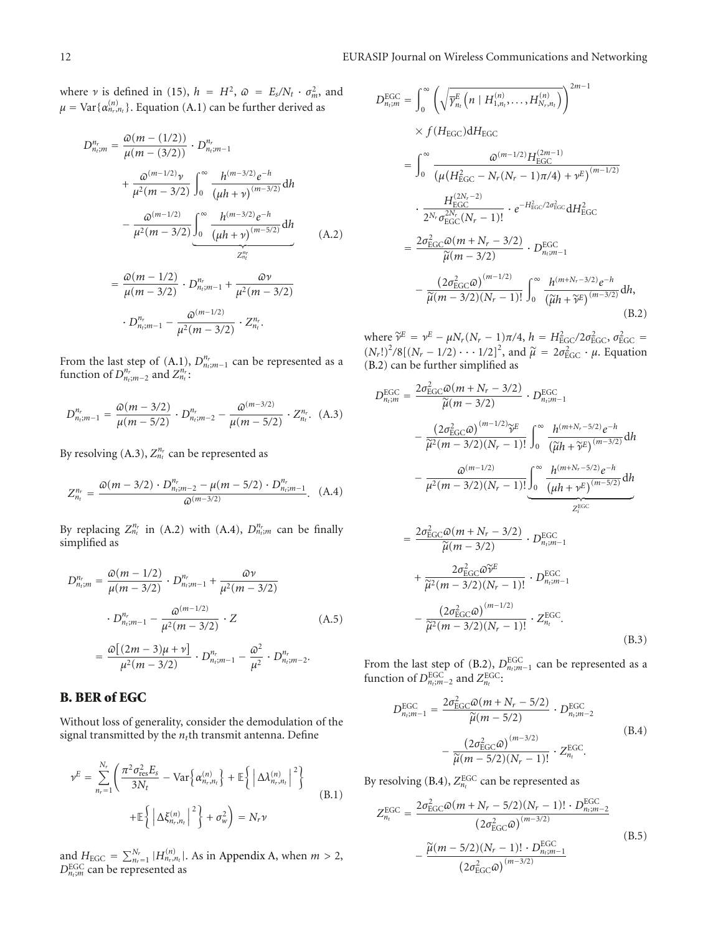where *ν* is defined in (15),  $h = H^2$ ,  $\omega = E_s/N_t \cdot \sigma_m^2$ , and  $\mu = \text{Var}\{\alpha_{n_r,n_t}^{(n)}\}$ . Equation (A.1) can be further derived as

$$
D_{n_{i};m}^{n_{r}} = \frac{\omega(m - (1/2))}{\mu(m - (3/2))} \cdot D_{n_{i};m-1}^{n_{r}}
$$
  
+ 
$$
\frac{\omega^{(m-1/2)}\nu}{\mu^{2}(m - 3/2)} \int_{0}^{\infty} \frac{h^{(m-3/2)}e^{-h}}{(\mu h + \nu)^{(m-3/2)}} dh
$$
  
- 
$$
\frac{\omega^{(m-1/2)}}{\mu^{2}(m - 3/2)} \underbrace{\int_{0}^{\infty} \frac{h^{(m-3/2)}e^{-h}}{(\mu h + \nu)^{(m-5/2)}} dh}{z_{n_{i}}^{n_{r}}}
$$
  
= 
$$
\frac{\omega(m - 1/2)}{\mu(m - 3/2)} \cdot D_{n_{i};m-1}^{n_{r}} + \frac{\omega\nu}{\mu^{2}(m - 3/2)}
$$
  
- 
$$
D_{n_{i};m-1}^{n_{r}} - \frac{\omega^{(m-1/2)}}{\mu^{2}(m - 3/2)} \cdot Z_{n_{i}}^{n_{r}}.
$$
 (A.2)

From the last step of  $(A,1)$ ,  $D_{n,m-1}^{n_r}$  can be represented as a function of  $D_{n_t;m-2}^{n_r}$  and  $Z_{n_t}^{n_r}$ :

$$
D_{n_l;m-1}^{n_r} = \frac{\omega(m-3/2)}{\mu(m-5/2)} \cdot D_{n_l;m-2}^{n_r} - \frac{\omega^{(m-3/2)}}{\mu(m-5/2)} \cdot Z_{n_l}^{n_r}.
$$
 (A.3)

By resolving  $(A.3)$ ,  $Z_{n_t}^{n_r}$  can be represented as

$$
Z_{n_t}^{n_r} = \frac{\varpi(m - 3/2) \cdot D_{n_t; m-2}^{n_r} - \mu(m - 5/2) \cdot D_{n_t; m-1}^{n_r}}{\varpi^{(m-3/2)}}.
$$
 (A.4)

By replacing  $Z_{n_t}^{n_r}$  in (A.2) with (A.4),  $D_{n_t;m}^{n_r}$  can be finally simplified as

$$
D_{n_{i};m}^{n_{r}} = \frac{\omega(m - 1/2)}{\mu(m - 3/2)} \cdot D_{n_{i};m-1}^{n_{r}} + \frac{\omega \nu}{\mu^{2}(m - 3/2)}
$$

$$
\cdot D_{n_{i};m-1}^{n_{r}} - \frac{\omega^{(m-1/2)}}{\mu^{2}(m - 3/2)} \cdot Z
$$

$$
= \frac{\omega[(2m - 3)\mu + \nu]}{\mu^{2}(m - 3/2)} \cdot D_{n_{i};m-1}^{n_{r}} - \frac{\omega^{2}}{\mu^{2}} \cdot D_{n_{i};m-2}^{n_{r}}.
$$
(A.5)

## **B. BER of EGC**

Without loss of generality, consider the demodulation of the signal transmitted by the  $n_t$ th transmit antenna. Define

$$
\nu^{E} = \sum_{n_{r}=1}^{N_{r}} \left( \frac{\pi^{2} \sigma_{\text{res}}^{2} E_{s}}{3N_{t}} - \text{Var}\left\{\alpha_{n_{r}, n_{t}}^{(n)}\right\} + \mathbb{E}\left\{\left|\Delta \lambda_{n_{r}, n_{t}}^{(n)}\right|^{2}\right\} + \mathbb{E}\left\{\left|\Delta \xi_{n_{r}, n_{t}}^{(n)}\right|^{2}\right\} + \sigma_{w}^{2}\right\} = N_{r} \nu
$$
\n(B.1)

and  $H_{\text{EGC}} = \sum_{n_r=1}^{N_r} |H_{n_r,n_t}^{(n)}|$ . As in Appendix A, when  $m > 2$ ,  $D_{n_t,m}^{\text{EGC}}$  can be represented as

$$
D_{n_{i},m}^{\text{EGC}} = \int_{0}^{\infty} \left( \sqrt{\overline{\gamma}_{n_{i}}^{E} \left( n \mid H_{1,n_{i}}^{(n)}, \ldots, H_{N_{r},n_{t}}^{(n)} \right)} \right)^{2m-1}
$$
  
\n
$$
\times f(H_{\text{EGC}}) dH_{\text{EGC}}
$$
  
\n
$$
= \int_{0}^{\infty} \frac{\omega^{(m-1/2)} H_{\text{EGC}}^{(2m-1)}}{(\mu (H_{\text{EGC}}^{2} - N_{r}(N_{r} - 1)\pi/4) + \nu^{E})^{(m-1/2)}}
$$
  
\n
$$
\cdot \frac{H_{\text{EGC}}^{(2N_{r} - 2)}}{2^{N_{r}} \sigma_{\text{EGC}}^{2N_{r}} (N_{r} - 1)!} \cdot e^{-H_{\text{EGC}}^{2} / 2\sigma_{\text{EGC}}^{2}} dH_{\text{EGC}}^{2}
$$
  
\n
$$
= \frac{2\sigma_{\text{EGC}}^{2} \omega (m + N_{r} - 3/2)}{\widetilde{\mu}(m - 3/2)} \cdot D_{n_{i},m-1}^{\text{EGC}}
$$
  
\n
$$
- \frac{(2\sigma_{\text{EGC}}^{2} \omega)^{(m-1/2)}}{\widetilde{\mu}(m - 3/2)(N_{r} - 1)!} \int_{0}^{\infty} \frac{h^{(m+N_{r} - 3/2)} e^{-h}}{(\widetilde{\mu}h + \widetilde{\nu}^{E})^{(m-3/2)}} dh,
$$
  
\n(B.2)

where  $\widetilde{\gamma}^E = \gamma^E - \mu N_r (N_r - 1) \pi / 4$ ,  $h = H_{\text{EGC}}^2 / 2 \sigma_{\text{EGC}}^2$ ,  $\sigma_{\text{EGC}}^2 = (N_r!)^2 / 8[(N_r - 1/2) \cdots 1/2]^2$ , and  $\widetilde{\mu} = 2 \sigma_{\text{EGC}}^2 \cdot \mu$ . Equation (B.2) can be further simplified as

$$
D_{n_{\text{f}};m}^{\text{EGC}} = \frac{2\sigma_{\text{EGC}}^{2}\omega(m + N_{r} - 3/2)}{\tilde{\mu}(m - 3/2)} \cdot D_{n_{\text{f}};m-1}^{\text{EGC}} - \frac{(2\sigma_{\text{EGC}}^{2}\omega)^{(m-1/2)}\tilde{\gamma}^{E}}{\tilde{\mu}^{2}(m - 3/2)(N_{r} - 1)!} \int_{0}^{\infty} \frac{h^{(m+N_{r}-5/2)}e^{-h}}{(\tilde{\mu}h + \tilde{\gamma}^{E})^{(m-3/2)}} \, \mathrm{d}h - \frac{\omega^{(m-1/2)}}{\mu^{2}(m - 3/2)(N_{r} - 1)!} \underbrace{\int_{0}^{\infty} \frac{h^{(m+N_{r}-5/2)}e^{-h}}{( \mu h + \gamma^{E})^{(m-5/2)}}}_{Z_{\text{f}}^{\text{EGC}}} \, \mathrm{d}h - \frac{\omega^{(m-1/2)}(m + N_{r}- 3/2)}{Z_{\text{f}}^{\text{EGC}}}
$$

$$
= \frac{2\sigma_{\text{EGC}}^{2}\omega(m+N_{r}-3/2)}{\tilde{\mu}(m-3/2)} \cdot D_{n_{t};m-1}^{\text{EGC}} + \frac{2\sigma_{\text{EGC}}^{2}\omega\tilde{\nu}^{E}}{\tilde{\mu}^{2}(m-3/2)(N_{r}-1)!} \cdot D_{n_{t};m-1}^{\text{EGC}} - \frac{(2\sigma_{\text{EGC}}^{2}\omega)^{(m-1/2)}}{\tilde{\mu}^{2}(m-3/2)(N_{r}-1)!} \cdot Z_{n_{t}}^{\text{EGC}}.
$$
\n(B.3)

From the last step of (B.2),  $D_{n_t;m-1}^{\text{EGC}}$  can be represented as a function of  $D_{n_t;m-2}^{\text{EGC}}$  and  $Z_{n_t}^{\text{EGC}}$ :

$$
D_{n_l; m-1}^{\text{EGC}} = \frac{2\sigma_{\text{EGC}}^2 \omega (m + N_r - 5/2)}{\widetilde{\mu}(m - 5/2)} \cdot D_{n_l; m-2}^{\text{EGC}} - \frac{(2\sigma_{\text{EGC}}^2 \omega)^{(m-3/2)}}{\widetilde{\mu}(m - 5/2)(N_r - 1)!} \cdot Z_{n_l}^{\text{EGC}}.
$$
\n(B.4)

By resolving (B.4),  $Z_{n_t}^{\text{EGC}}$  can be represented as

$$
Z_{n_t}^{\text{EGC}} = \frac{2\sigma_{\text{EGC}}^2 \omega (m + N_r - 5/2)(N_r - 1)! \cdot D_{n_t; m-2}^{\text{EGC}}}{(2\sigma_{\text{EGC}}^2 \omega)^{(m-3/2)}}
$$

$$
-\frac{\tilde{\mu}(m - 5/2)(N_r - 1)! \cdot D_{n_t; m-1}^{\text{EGC}}}{(2\sigma_{\text{EGC}}^2 \omega)^{(m-3/2)}}
$$
(B.5)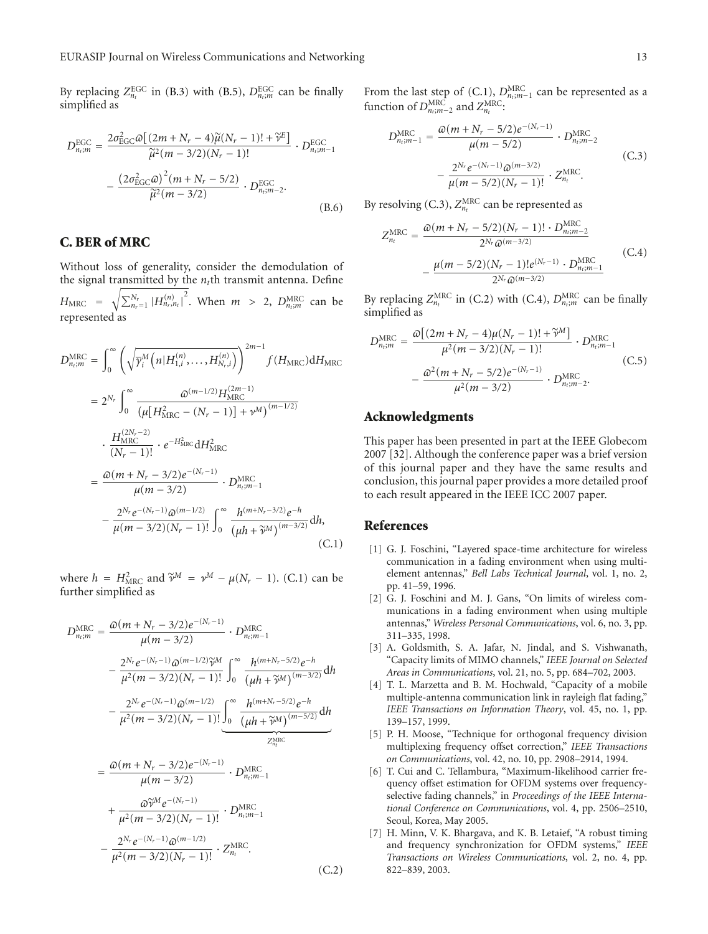By replacing  $Z_{n_t}^{\text{EGC}}$  in (B.3) with (B.5),  $D_{n_t;m}^{\text{EGC}}$  can be finally simplified as

$$
D_{n_i,m}^{\text{EGC}} = \frac{2\sigma_{\text{EGC}}^2 \omega \left[ (2m + N_r - 4)\widetilde{\mu}(N_r - 1)! + \widetilde{\gamma}^E \right]}{\widetilde{\mu}^2 (m - 3/2)(N_r - 1)!} \cdot D_{n_i,m-1}^{\text{EGC}} - \frac{\left(2\sigma_{\text{EGC}}^2 \omega\right)^2 (m + N_r - 5/2)}{\widetilde{\mu}^2 (m - 3/2)} \cdot D_{n_i,m-2}^{\text{EGC}}.
$$
\n(B.6)

## **C. BER of MRC**

Without loss of generality, consider the demodulation of the signal transmitted by the  $n_t$ <sup>th</sup> transmit antenna. Define  $H_{\text{MRC}} = \sqrt{\sum_{n_r=1}^{N_r} |H_{n_r,n_t}^{(n)}|^2}$ . When  $m > 2$ ,  $D_{n_t,m}^{\text{MRC}}$  can be represented as

$$
D_{n_{i},m}^{\text{MRC}} = \int_{0}^{\infty} \left( \sqrt{\overline{\gamma}_{i}^{M} \left( n | H_{1,i}^{(n)}, \dots, H_{N_{r},i}^{(n)} \right)} \right)^{2m-1} f(H_{\text{MRC}}) dH_{\text{MRC}}
$$
  
\n
$$
= 2^{N_{r}} \int_{0}^{\infty} \frac{\omega^{(m-1/2)} H_{\text{MRC}}^{(2m-1)}}{\left( \mu \left[ H_{\text{MRC}}^{2} - (N_{r} - 1) \right] + \nu^{M} \right)^{(m-1/2)}}
$$
  
\n
$$
\cdot \frac{H_{\text{MRC}}^{(2N_{r}-2)}}{\left( N_{r} - 1 \right)!} \cdot e^{-H_{\text{MRC}}^{2}} dH_{\text{MRC}}^{2}
$$
  
\n
$$
= \frac{\omega(m + N_{r} - 3/2) e^{-(N_{r} - 1)}}{\mu(m - 3/2)} \cdot D_{n_{i},m-1}^{\text{MRC}}
$$
  
\n
$$
- \frac{2^{N_{r}} e^{-(N_{r} - 1)} \omega^{(m - 1/2)}}{\mu(m - 3/2)(N_{r} - 1)!} \int_{0}^{\infty} \frac{h^{(m+N_{r} - 3/2)} e^{-h}}{\left( \mu h + \widetilde{\nu}_{m}^{M} \right)^{(m - 3/2)}} dh,
$$
  
\n(C.1)

where  $h = H_{MRC}^2$  and  $\tilde{\gamma}^M = \gamma^M - \mu(N_r - 1)$ . (C.1) can be further simplified as further simplified as

$$
D_{n_{i},m}^{\text{MRC}} = \frac{\omega(m + N_{r} - 3/2)e^{-(N_{r} - 1)}}{\mu(m - 3/2)} \cdot D_{n_{i},m-1}^{\text{MRC}}
$$
  
\n
$$
- \frac{2^{N_{r}}e^{-(N_{r} - 1)}\omega^{(m - 1/2)}\tilde{\gamma}^{M}}{\mu^{2}(m - 3/2)(N_{r} - 1)!} \int_{0}^{\infty} \frac{h^{(m+N_{r} - 5/2)}e^{-h}}{(\mu h + \tilde{\gamma}^{M})^{(m - 3/2)}} dh
$$
  
\n
$$
- \frac{2^{N_{r}}e^{-(N_{r} - 1)}\omega^{(m - 1/2)}}{\mu^{2}(m - 3/2)(N_{r} - 1)!} \underbrace{\int_{0}^{\infty} \frac{h^{(m+N_{r} - 5/2)}e^{-h}}{(\mu h + \tilde{\gamma}^{M})^{(m - 5/2)}} dh}{z_{n_{i}}^{\text{MRC}}}
$$
  
\n
$$
= \frac{\omega(m + N_{r} - 3/2)e^{-(N_{r} - 1)}}{\mu(m - 3/2)} \cdot D_{n_{i},m-1}^{\text{MRC}}
$$
  
\n
$$
+ \frac{\omega \tilde{\gamma}^{M}e^{-(N_{r} - 1)}}{\mu^{2}(m - 3/2)(N_{r} - 1)!} \cdot D_{n_{i},m-1}^{\text{MRC}}
$$
  
\n
$$
- \frac{2^{N_{r}}e^{-(N_{r} - 1)}\omega^{(m - 1/2)}}{\mu^{2}(m - 3/2)(N_{r} - 1)!} \cdot Z_{n_{t}}^{\text{MRC}}.
$$
  
\n(C.2)

From the last step of (C.1),  $D_{n_t; m-1}^{\text{MRC}}$  can be represented as a function of  $D_{n_t;m-2}^{\text{MRC}}$  and  $Z_{n_t}^{\text{MRC}}$ :

$$
D_{n_{i},m-1}^{\text{MRC}} = \frac{\omega(m + N_{r} - 5/2)e^{-(N_{r}-1)}}{\mu(m - 5/2)} \cdot D_{n_{i},m-2}^{\text{MRC}} - \frac{2^{N_{r}}e^{-(N_{r}-1)}\omega^{(m-3/2)}}{\mu(m - 5/2)(N_{r} - 1)!} \cdot Z_{n_{i}}^{\text{MRC}}.
$$
 (C.3)

By resolving (C.3),  $Z_{n_t}^{\text{MRC}}$  can be represented as

$$
Z_{n_t}^{\text{MRC}} = \frac{\omega(m + N_r - 5/2)(N_r - 1)! \cdot D_{n_i; m-2}^{\text{MRC}}}{2^{N_r} \omega^{(m-3/2)}} - \frac{\mu(m - 5/2)(N_r - 1)! e^{(N_r - 1)} \cdot D_{n_i; m-1}^{\text{MRC}}}{2^{N_r} \omega^{(m-3/2)}}
$$
(C.4)

By replacing  $Z_{n_t}^{\text{MRC}}$  in (C.2) with (C.4),  $D_{n_t;m}^{\text{MRC}}$  can be finally simplified as

$$
D_{n_t;m}^{\text{MRC}} = \frac{\varpi \left[ (2m + N_r - 4)\mu (N_r - 1)! + \widetilde{\nu}^M \right]}{\mu^2 (m - 3/2)(N_r - 1)!} \cdot D_{n_t;m-1}^{\text{MRC}} \\
-\frac{\varpi^2 (m + N_r - 5/2)e^{-(N_r - 1)}}{\mu^2 (m - 3/2)} \cdot D_{n_t;m-2}^{\text{MRC}}.
$$
\n(C.5)

#### **Acknowledgments**

This paper has been presented in part at the IEEE Globecom 2007 [32]. Although the conference paper was a brief version of this journal paper and they have the same results and conclusion, this journal paper provides a more detailed proof to each result appeared in the IEEE ICC 2007 paper.

#### **References**

- [1] G. J. Foschini, "Layered space-time architecture for wireless communication in a fading environment when using multielement antennas," *Bell Labs Technical Journal*, vol. 1, no. 2, pp. 41–59, 1996.
- [2] G. J. Foschini and M. J. Gans, "On limits of wireless communications in a fading environment when using multiple antennas," *Wireless Personal Communications*, vol. 6, no. 3, pp. 311–335, 1998.
- [3] A. Goldsmith, S. A. Jafar, N. Jindal, and S. Vishwanath, "Capacity limits of MIMO channels," *IEEE Journal on Selected Areas in Communications*, vol. 21, no. 5, pp. 684–702, 2003.
- [4] T. L. Marzetta and B. M. Hochwald, "Capacity of a mobile multiple-antenna communication link in rayleigh flat fading," *IEEE Transactions on Information Theory*, vol. 45, no. 1, pp. 139–157, 1999.
- [5] P. H. Moose, "Technique for orthogonal frequency division multiplexing frequency offset correction," *IEEE Transactions on Communications*, vol. 42, no. 10, pp. 2908–2914, 1994.
- [6] T. Cui and C. Tellambura, "Maximum-likelihood carrier frequency offset estimation for OFDM systems over frequencyselective fading channels," in *Proceedings of the IEEE International Conference on Communications*, vol. 4, pp. 2506–2510, Seoul, Korea, May 2005.
- [7] H. Minn, V. K. Bhargava, and K. B. Letaief, "A robust timing and frequency synchronization for OFDM systems," *IEEE Transactions on Wireless Communications*, vol. 2, no. 4, pp. 822–839, 2003.